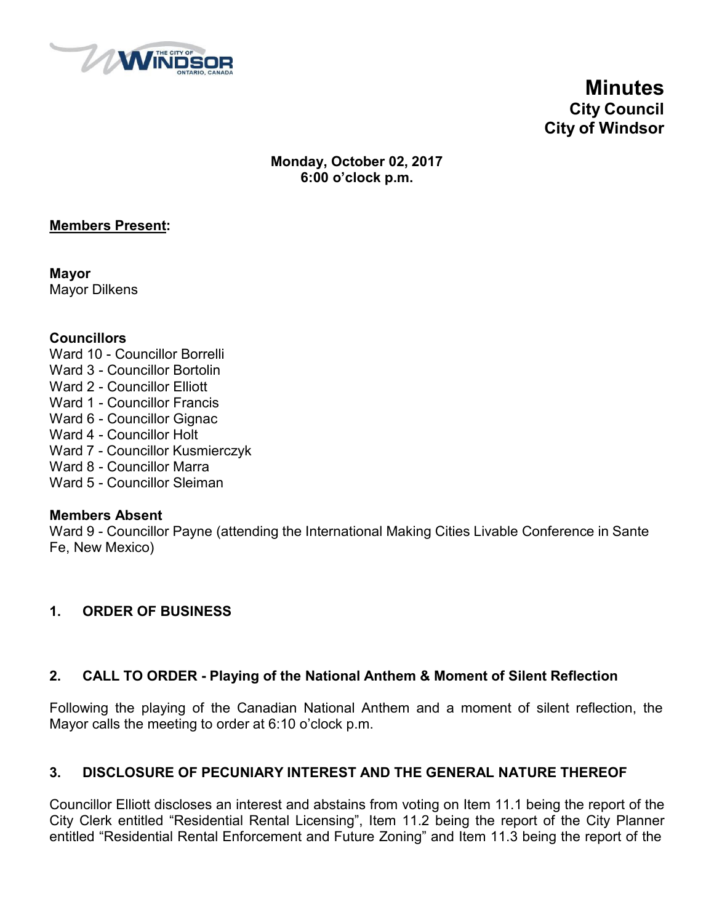

**Minutes City Council City of Windsor**

**Monday, October 02, 2017 6:00 o'clock p.m.**

#### **Members Present:**

**Mayor** Mayor Dilkens

#### **Councillors**

- Ward 10 Councillor Borrelli
- Ward 3 Councillor Bortolin
- Ward 2 Councillor Elliott
- Ward 1 Councillor Francis
- Ward 6 Councillor Gignac
- Ward 4 Councillor Holt
- Ward 7 Councillor Kusmierczyk
- Ward 8 Councillor Marra
- Ward 5 Councillor Sleiman

#### **Members Absent**

Ward 9 - Councillor Payne (attending the International Making Cities Livable Conference in Sante Fe, New Mexico)

#### **1. ORDER OF BUSINESS**

### **2. CALL TO ORDER - Playing of the National Anthem & Moment of Silent Reflection**

Following the playing of the Canadian National Anthem and a moment of silent reflection, the Mayor calls the meeting to order at 6:10 o'clock p.m.

### **3. DISCLOSURE OF PECUNIARY INTEREST AND THE GENERAL NATURE THEREOF**

Councillor Elliott discloses an interest and abstains from voting on Item 11.1 being the report of the City Clerk entitled "Residential Rental Licensing", Item 11.2 being the report of the City Planner entitled "Residential Rental Enforcement and Future Zoning" and Item 11.3 being the report of the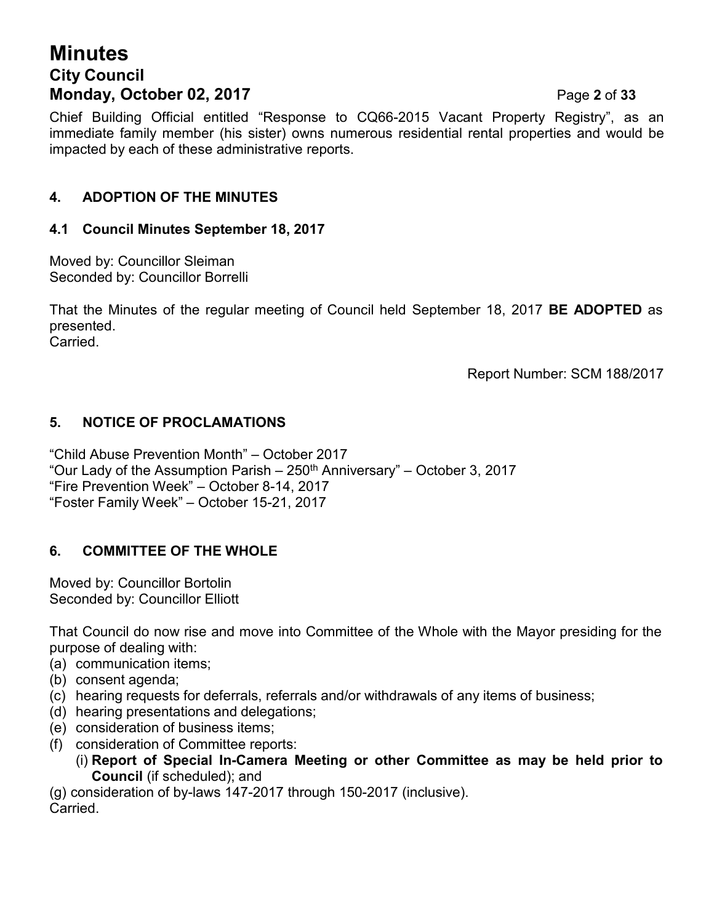# **Minutes City Council Monday, October 02, 2017** Page **2** of **33**

Chief Building Official entitled "Response to CQ66-2015 Vacant Property Registry", as an immediate family member (his sister) owns numerous residential rental properties and would be impacted by each of these administrative reports.

## **4. ADOPTION OF THE MINUTES**

### **4.1 Council Minutes September 18, 2017**

Moved by: Councillor Sleiman Seconded by: Councillor Borrelli

That the Minutes of the regular meeting of Council held September 18, 2017 **BE ADOPTED** as presented. Carried.

Report Number: SCM 188/2017

## **5. NOTICE OF PROCLAMATIONS**

"Child Abuse Prevention Month" – October 2017 "Our Lady of the Assumption Parish –  $250<sup>th</sup>$  Anniversary" – October 3, 2017 "Fire Prevention Week" – October 8-14, 2017 "Foster Family Week" – October 15-21, 2017

## **6. COMMITTEE OF THE WHOLE**

Moved by: Councillor Bortolin Seconded by: Councillor Elliott

That Council do now rise and move into Committee of the Whole with the Mayor presiding for the purpose of dealing with:

- (a) communication items;
- (b) consent agenda;
- (c) hearing requests for deferrals, referrals and/or withdrawals of any items of business;
- (d) hearing presentations and delegations;
- (e) consideration of business items;
- (f) consideration of Committee reports:
	- (i) **Report of Special In-Camera Meeting or other Committee as may be held prior to Council** (if scheduled); and

(g) consideration of by-laws 147-2017 through 150-2017 (inclusive). Carried.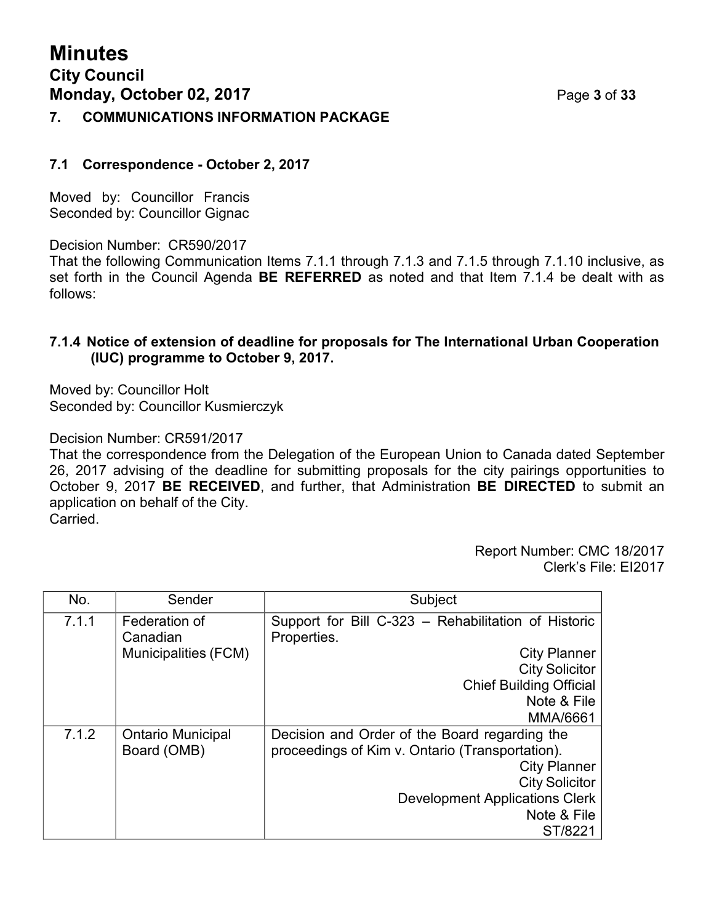# **Minutes City Council Monday, October 02, 2017** Page **3** of **33**

### **7. COMMUNICATIONS INFORMATION PACKAGE**

#### **7.1 Correspondence - October 2, 2017**

Moved by: Councillor Francis Seconded by: Councillor Gignac

Decision Number: CR590/2017

That the following Communication Items 7.1.1 through 7.1.3 and 7.1.5 through 7.1.10 inclusive, as set forth in the Council Agenda **BE REFERRED** as noted and that Item 7.1.4 be dealt with as follows:

#### **7.1.4 Notice of extension of deadline for proposals for The International Urban Cooperation (IUC) programme to October 9, 2017.**

Moved by: Councillor Holt Seconded by: Councillor Kusmierczyk

Decision Number: CR591/2017

That the correspondence from the Delegation of the European Union to Canada dated September 26, 2017 advising of the deadline for submitting proposals for the city pairings opportunities to October 9, 2017 **BE RECEIVED**, and further, that Administration **BE DIRECTED** to submit an application on behalf of the City. Carried.

> Report Number: CMC 18/2017 Clerk's File: EI2017

| No.   | Sender                   | Subject                                             |
|-------|--------------------------|-----------------------------------------------------|
| 7.1.1 | Federation of            | Support for Bill C-323 - Rehabilitation of Historic |
|       | Canadian                 | Properties.                                         |
|       | Municipalities (FCM)     | <b>City Planner</b>                                 |
|       |                          | <b>City Solicitor</b>                               |
|       |                          | <b>Chief Building Official</b>                      |
|       |                          | Note & File                                         |
|       |                          | <b>MMA/6661</b>                                     |
| 7.1.2 | <b>Ontario Municipal</b> | Decision and Order of the Board regarding the       |
|       | Board (OMB)              | proceedings of Kim v. Ontario (Transportation).     |
|       |                          | <b>City Planner</b>                                 |
|       |                          | <b>City Solicitor</b>                               |
|       |                          | <b>Development Applications Clerk</b>               |
|       |                          | Note & File                                         |
|       |                          | ST/8221                                             |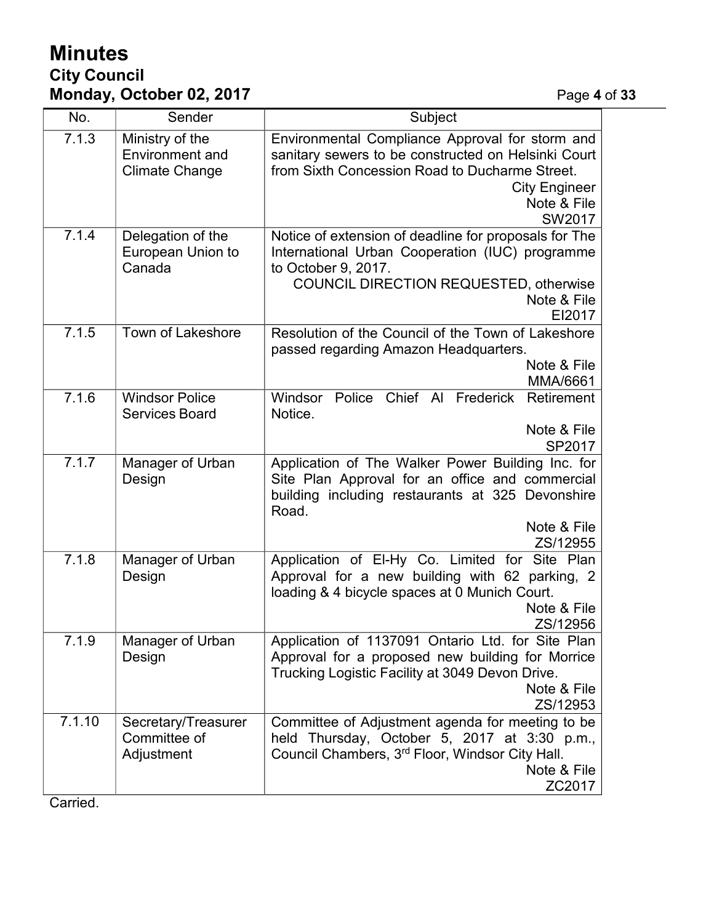# **Minutes City Council Monday, October 02, 2017** Page **4** of **33**

| No.    | Sender                                                             | Subject                                                                                                                                                                                                   |
|--------|--------------------------------------------------------------------|-----------------------------------------------------------------------------------------------------------------------------------------------------------------------------------------------------------|
| 7.1.3  | Ministry of the<br><b>Environment</b> and<br><b>Climate Change</b> | Environmental Compliance Approval for storm and<br>sanitary sewers to be constructed on Helsinki Court<br>from Sixth Concession Road to Ducharme Street.<br><b>City Engineer</b><br>Note & File<br>SW2017 |
| 7.1.4  | Delegation of the<br>European Union to<br>Canada                   | Notice of extension of deadline for proposals for The<br>International Urban Cooperation (IUC) programme<br>to October 9, 2017.<br><b>COUNCIL DIRECTION REQUESTED, otherwise</b><br>Note & File<br>EI2017 |
| 7.1.5  | Town of Lakeshore                                                  | Resolution of the Council of the Town of Lakeshore<br>passed regarding Amazon Headquarters.<br>Note & File<br><b>MMA/6661</b>                                                                             |
| 7.1.6  | <b>Windsor Police</b><br><b>Services Board</b>                     | Chief Al Frederick<br><b>Windsor</b><br>Police<br>Retirement<br>Notice.<br>Note & File<br>SP2017                                                                                                          |
| 7.1.7  | Manager of Urban<br>Design                                         | Application of The Walker Power Building Inc. for<br>Site Plan Approval for an office and commercial<br>building including restaurants at 325 Devonshire<br>Road.<br>Note & File<br>ZS/12955              |
| 7.1.8  | Manager of Urban<br>Design                                         | Application of El-Hy Co. Limited for Site Plan<br>Approval for a new building with 62 parking, 2<br>loading & 4 bicycle spaces at 0 Munich Court.<br>Note & File<br>ZS/12956                              |
| 7.1.9  | Manager of Urban<br>Design                                         | Application of 1137091 Ontario Ltd. for Site Plan<br>Approval for a proposed new building for Morrice<br>Trucking Logistic Facility at 3049 Devon Drive.<br>Note & File<br>ZS/12953                       |
| 7.1.10 | Secretary/Treasurer<br>Committee of<br>Adjustment                  | Committee of Adjustment agenda for meeting to be<br>held Thursday, October 5, 2017 at 3:30 p.m.,<br>Council Chambers, 3 <sup>rd</sup> Floor, Windsor City Hall.<br>Note & File<br>ZC2017                  |

Carried.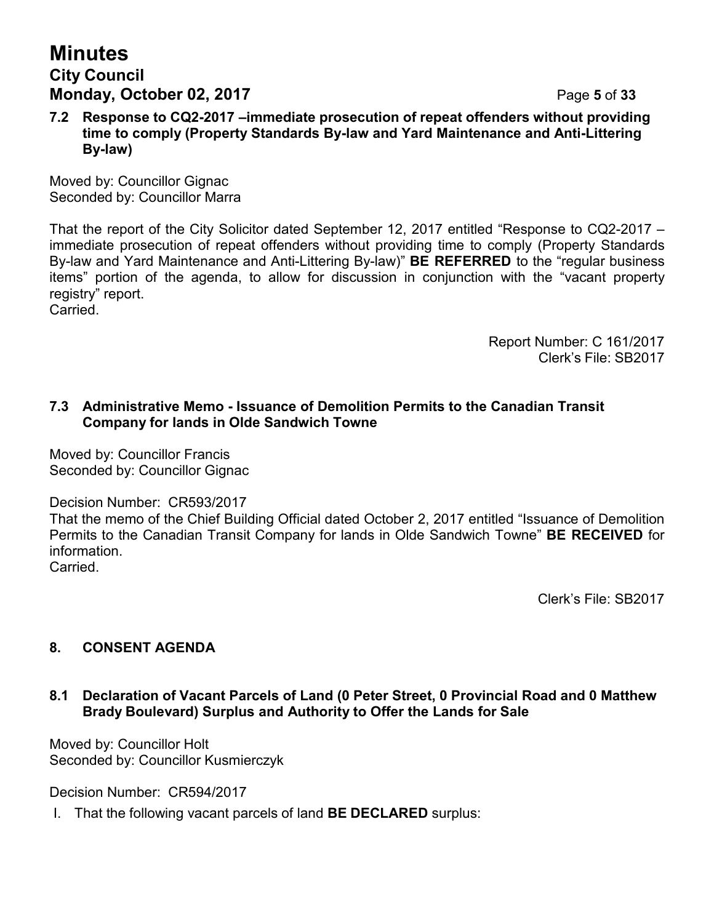# **Minutes City Council Monday, October 02, 2017** Page **5** of **33**

**7.2 Response to CQ2-2017 –immediate prosecution of repeat offenders without providing time to comply (Property Standards By-law and Yard Maintenance and Anti-Littering By-law)**

Moved by: Councillor Gignac Seconded by: Councillor Marra

That the report of the City Solicitor dated September 12, 2017 entitled "Response to CQ2-2017 – immediate prosecution of repeat offenders without providing time to comply (Property Standards By-law and Yard Maintenance and Anti-Littering By-law)" **BE REFERRED** to the "regular business items" portion of the agenda, to allow for discussion in conjunction with the "vacant property registry" report. Carried.

> Report Number: C 161/2017 Clerk's File: SB2017

#### **7.3 Administrative Memo - Issuance of Demolition Permits to the Canadian Transit Company for lands in Olde Sandwich Towne**

Moved by: Councillor Francis Seconded by: Councillor Gignac

Decision Number: CR593/2017

That the memo of the Chief Building Official dated October 2, 2017 entitled "Issuance of Demolition Permits to the Canadian Transit Company for lands in Olde Sandwich Towne" **BE RECEIVED** for information. Carried.

Clerk's File: SB2017

## **8. CONSENT AGENDA**

### **8.1 Declaration of Vacant Parcels of Land (0 Peter Street, 0 Provincial Road and 0 Matthew Brady Boulevard) Surplus and Authority to Offer the Lands for Sale**

Moved by: Councillor Holt Seconded by: Councillor Kusmierczyk

Decision Number: CR594/2017

I. That the following vacant parcels of land **BE DECLARED** surplus: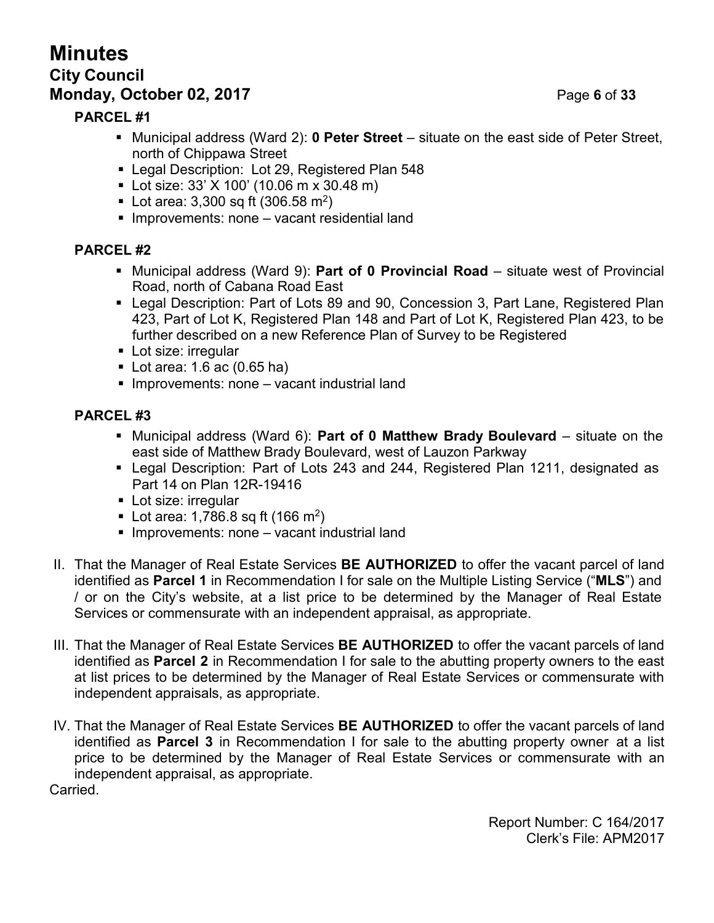# **Minutes City Council Monday, October 02, 2017** Page **6** of **33**

## **PARCEL #1**

- Municipal address (Ward 2): **0 Peter Street** situate on the east side of Peter Street, north of Chippawa Street
- Legal Description: Lot 29, Registered Plan 548
- Lot size: 33' X 100' (10.06 m x 30.48 m)
- Lot area: 3,300 sq ft (306.58 m<sup>2</sup>)
- Improvements: none vacant residential land

## **PARCEL #2**

- Municipal address (Ward 9): **Part of 0 Provincial Road** situate west of Provincial Road, north of Cabana Road East
- Legal Description: Part of Lots 89 and 90, Concession 3, Part Lane, Registered Plan 423, Part of Lot K, Registered Plan 148 and Part of Lot K, Registered Plan 423, to be further described on a new Reference Plan of Survey to be Registered
- Lot size: irregular
- $\blacksquare$  Lot area: 1.6 ac (0.65 ha)
- Improvements: none vacant industrial land

## **PARCEL #3**

- Municipal address (Ward 6): **Part of 0 Matthew Brady Boulevard** situate on the east side of Matthew Brady Boulevard, west of Lauzon Parkway
- **Example 243 Example 244, Registered Plan 1211, designated as** Part 14 on Plan 12R-19416
- Lot size: irregular
- Lot area: 1,786.8 sq ft (166 m<sup>2</sup>)
- Improvements: none vacant industrial land
- II. That the Manager of Real Estate Services **BE AUTHORIZED** to offer the vacant parcel of land identified as **Parcel 1** in Recommendation I for sale on the Multiple Listing Service ("**MLS**") and / or on the City's website, at a list price to be determined by the Manager of Real Estate Services or commensurate with an independent appraisal, as appropriate.
- III. That the Manager of Real Estate Services **BE AUTHORIZED** to offer the vacant parcels of land identified as **Parcel 2** in Recommendation I for sale to the abutting property owners to the east at list prices to be determined by the Manager of Real Estate Services or commensurate with independent appraisals, as appropriate.
- IV. That the Manager of Real Estate Services **BE AUTHORIZED** to offer the vacant parcels of land identified as **Parcel 3** in Recommendation I for sale to the abutting property owner at a list price to be determined by the Manager of Real Estate Services or commensurate with an independent appraisal, as appropriate.

Carried.

Report Number: C 164/2017 Clerk's File: APM2017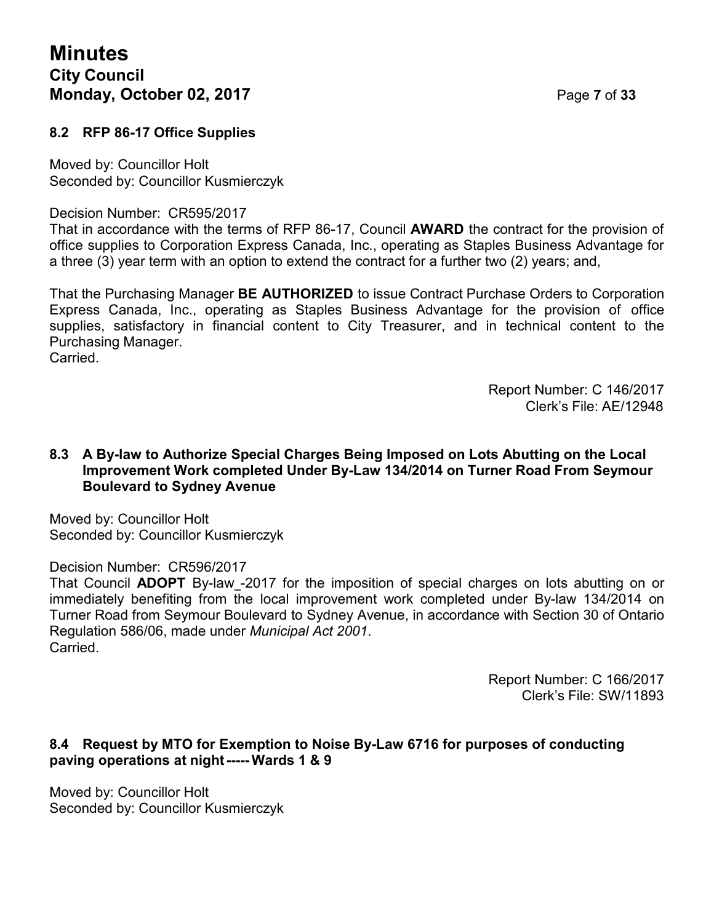## **Minutes City Council Monday, October 02, 2017** Page **7** of **33**

Moved by: Councillor Holt Seconded by: Councillor Kusmierczyk

#### Decision Number: CR595/2017

That in accordance with the terms of RFP 86-17, Council **AWARD** the contract for the provision of office supplies to Corporation Express Canada, Inc., operating as Staples Business Advantage for a three (3) year term with an option to extend the contract for a further two (2) years; and,

That the Purchasing Manager **BE AUTHORIZED** to issue Contract Purchase Orders to Corporation Express Canada, Inc., operating as Staples Business Advantage for the provision of office supplies, satisfactory in financial content to City Treasurer, and in technical content to the Purchasing Manager. Carried.

> Report Number: C 146/2017 Clerk's File: AE/12948

#### **8.3 A By-law to Authorize Special Charges Being Imposed on Lots Abutting on the Local Improvement Work completed Under By-Law 134/2014 on Turner Road From Seymour Boulevard to Sydney Avenue**

Moved by: Councillor Holt Seconded by: Councillor Kusmierczyk

#### Decision Number: CR596/2017

That Council **ADOPT** By-law -2017 for the imposition of special charges on lots abutting on or immediately benefiting from the local improvement work completed under By-law 134/2014 on Turner Road from Seymour Boulevard to Sydney Avenue, in accordance with Section 30 of Ontario Regulation 586/06, made under *Municipal Act 2001*. Carried.

> Report Number: C 166/2017 Clerk's File: SW/11893

#### **8.4 Request by MTO for Exemption to Noise By-Law 6716 for purposes of conducting paving operations at night----- Wards 1 & 9**

Moved by: Councillor Holt Seconded by: Councillor Kusmierczyk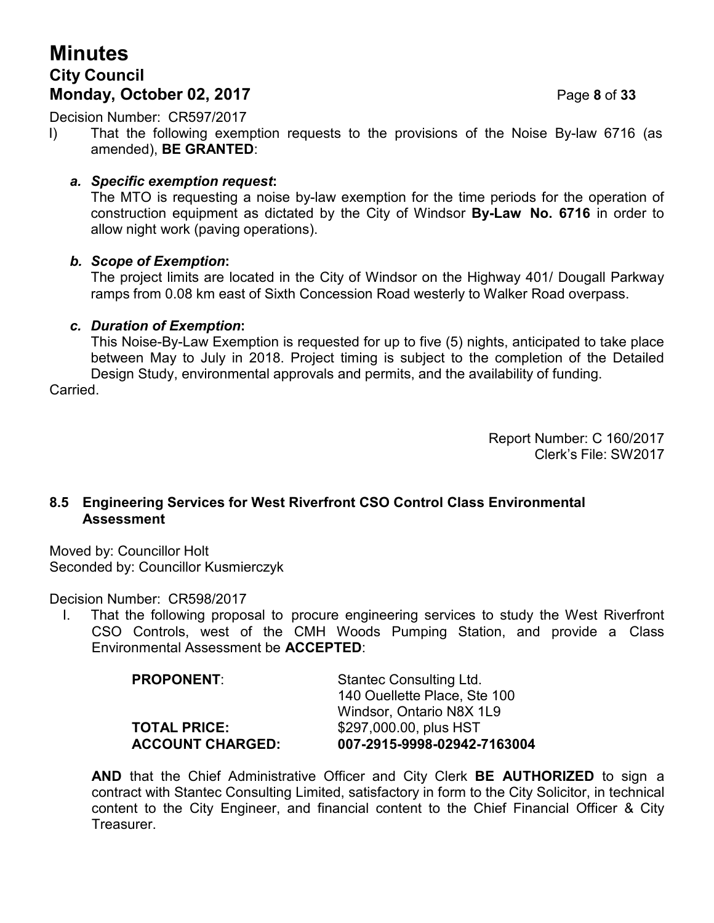## **Minutes City Council Monday, October 02, 2017** Page **8** of **33**

Decision Number: CR597/2017

I) That the following exemption requests to the provisions of the Noise By-law 6716 (as amended), **BE GRANTED**:

### *a. Specific exemption request***:**

The MTO is requesting a noise by-law exemption for the time periods for the operation of construction equipment as dictated by the City of Windsor **By-Law No. 6716** in order to allow night work (paving operations).

#### *b. Scope of Exemption***:**

The project limits are located in the City of Windsor on the Highway 401/ Dougall Parkway ramps from 0.08 km east of Sixth Concession Road westerly to Walker Road overpass.

#### *c. Duration of Exemption***:**

This Noise-By-Law Exemption is requested for up to five (5) nights, anticipated to take place between May to July in 2018. Project timing is subject to the completion of the Detailed Design Study, environmental approvals and permits, and the availability of funding.

Carried.

Report Number: C 160/2017 Clerk's File: SW2017

#### **8.5 Engineering Services for West Riverfront CSO Control Class Environmental Assessment**

Moved by: Councillor Holt Seconded by: Councillor Kusmierczyk

Decision Number: CR598/2017

I. That the following proposal to procure engineering services to study the West Riverfront CSO Controls, west of the CMH Woods Pumping Station, and provide a Class Environmental Assessment be **ACCEPTED**:

| <b>PROPONENT:</b>       | <b>Stantec Consulting Ltd.</b> |  |
|-------------------------|--------------------------------|--|
|                         | 140 Ouellette Place, Ste 100   |  |
|                         | Windsor, Ontario N8X 1L9       |  |
| <b>TOTAL PRICE:</b>     | \$297,000.00, plus HST         |  |
| <b>ACCOUNT CHARGED:</b> | 007-2915-9998-02942-7163004    |  |

**AND** that the Chief Administrative Officer and City Clerk **BE AUTHORIZED** to sign a contract with Stantec Consulting Limited, satisfactory in form to the City Solicitor, in technical content to the City Engineer, and financial content to the Chief Financial Officer & City Treasurer.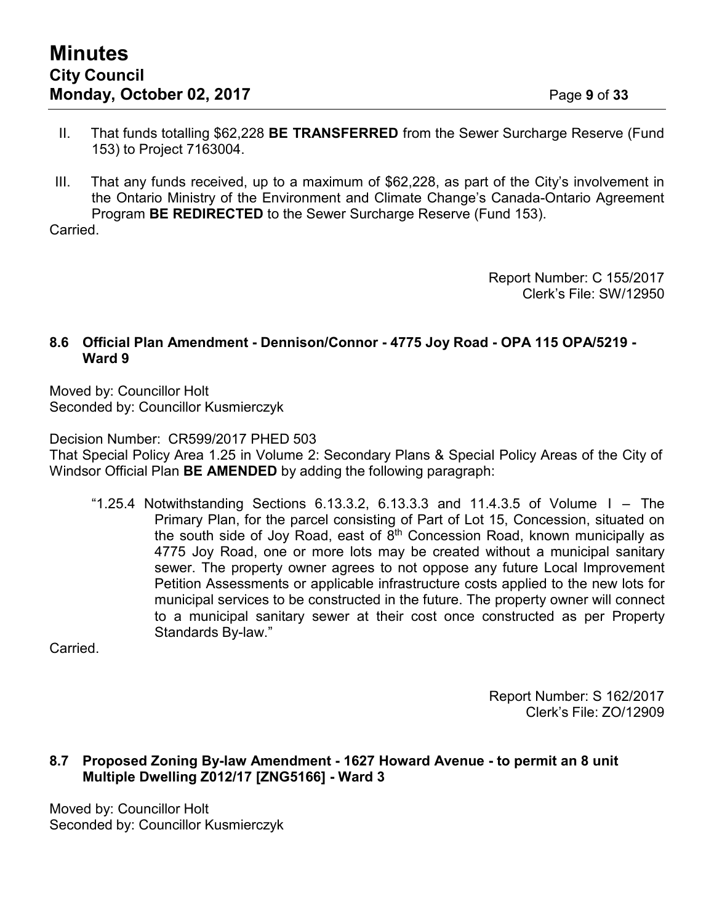II. That funds totalling \$62,228 **BE TRANSFERRED** from the Sewer Surcharge Reserve (Fund 153) to Project 7163004.

III. That any funds received, up to a maximum of \$62,228, as part of the City's involvement in the Ontario Ministry of the Environment and Climate Change's Canada-Ontario Agreement Program **BE REDIRECTED** to the Sewer Surcharge Reserve (Fund 153).

Carried.

Report Number: C 155/2017 Clerk's File: SW/12950

#### **8.6 Official Plan Amendment - Dennison/Connor - 4775 Joy Road - OPA 115 OPA/5219 - Ward 9**

Moved by: Councillor Holt Seconded by: Councillor Kusmierczyk

Decision Number: CR599/2017 PHED 503

That Special Policy Area 1.25 in Volume 2: Secondary Plans & Special Policy Areas of the City of Windsor Official Plan **BE AMENDED** by adding the following paragraph:

"1.25.4 Notwithstanding Sections 6.13.3.2, 6.13.3.3 and 11.4.3.5 of Volume I – The Primary Plan, for the parcel consisting of Part of Lot 15, Concession, situated on the south side of Joy Road, east of  $8<sup>th</sup>$  Concession Road, known municipally as 4775 Joy Road, one or more lots may be created without a municipal sanitary sewer. The property owner agrees to not oppose any future Local Improvement Petition Assessments or applicable infrastructure costs applied to the new lots for municipal services to be constructed in the future. The property owner will connect to a municipal sanitary sewer at their cost once constructed as per Property Standards By-law."

Carried.

Report Number: S 162/2017 Clerk's File: ZO/12909

**8.7 Proposed Zoning By-law Amendment - 1627 Howard Avenue - to permit an 8 unit Multiple Dwelling Z012/17 [ZNG5166] - Ward 3**

Moved by: Councillor Holt Seconded by: Councillor Kusmierczyk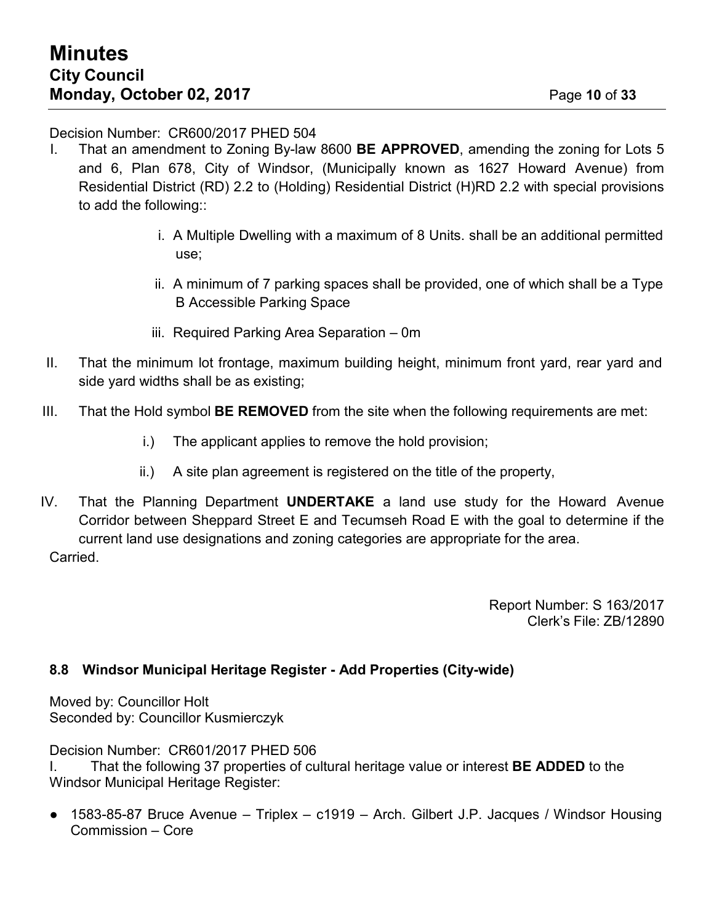Decision Number: CR600/2017 PHED 504

- I. That an amendment to Zoning By-law 8600 **BE APPROVED**, amending the zoning for Lots 5 and 6, Plan 678, City of Windsor, (Municipally known as 1627 Howard Avenue) from Residential District (RD) 2.2 to (Holding) Residential District (H)RD 2.2 with special provisions to add the following::
	- i. A Multiple Dwelling with a maximum of 8 Units. shall be an additional permitted use;
	- ii. A minimum of 7 parking spaces shall be provided, one of which shall be a Type B Accessible Parking Space
	- iii. Required Parking Area Separation 0m
- II. That the minimum lot frontage, maximum building height, minimum front yard, rear yard and side yard widths shall be as existing;
- III. That the Hold symbol **BE REMOVED** from the site when the following requirements are met:
	- i.) The applicant applies to remove the hold provision;
	- ii.) A site plan agreement is registered on the title of the property,
- IV. That the Planning Department **UNDERTAKE** a land use study for the Howard Avenue Corridor between Sheppard Street E and Tecumseh Road E with the goal to determine if the current land use designations and zoning categories are appropriate for the area. Carried.

Report Number: S 163/2017 Clerk's File: ZB/12890

### **8.8 Windsor Municipal Heritage Register - Add Properties (City-wide)**

Moved by: Councillor Holt Seconded by: Councillor Kusmierczyk

Decision Number: CR601/2017 PHED 506

I. That the following 37 properties of cultural heritage value or interest **BE ADDED** to the Windsor Municipal Heritage Register:

● 1583-85-87 Bruce Avenue – Triplex – c1919 – Arch. Gilbert J.P. Jacques / Windsor Housing Commission – Core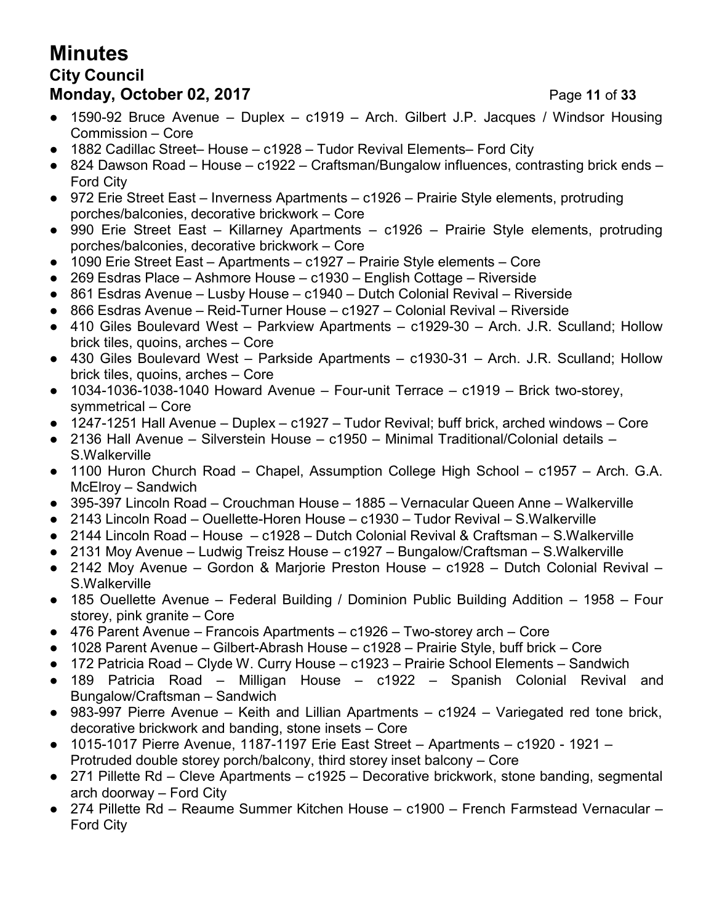# **Minutes City Council Monday, October 02, 2017 Page 11 of 33**

- 1590-92 Bruce Avenue Duplex c1919 Arch. Gilbert J.P. Jacques / Windsor Housing Commission – Core
- 1882 Cadillac Street– House c1928 Tudor Revival Elements– Ford City
- 824 Dawson Road House c1922 Craftsman/Bungalow influences, contrasting brick ends Ford City
- 972 Erie Street East Inverness Apartments c1926 Prairie Style elements, protruding porches/balconies, decorative brickwork – Core
- 990 Erie Street East Killarney Apartments c1926 Prairie Style elements, protruding porches/balconies, decorative brickwork – Core
- 1090 Erie Street East Apartments c1927 Prairie Style elements Core
- 269 Esdras Place Ashmore House c1930 English Cottage Riverside
- 861 Esdras Avenue Lusby House c1940 Dutch Colonial Revival Riverside
- 866 Esdras Avenue Reid-Turner House c1927 Colonial Revival Riverside
- 410 Giles Boulevard West Parkview Apartments c1929-30 Arch. J.R. Sculland; Hollow brick tiles, quoins, arches – Core
- 430 Giles Boulevard West Parkside Apartments c1930-31 Arch. J.R. Sculland; Hollow brick tiles, quoins, arches – Core
- $\bullet$  1034-1036-1038-1040 Howard Avenue Four-unit Terrace c1919 Brick two-storey, symmetrical – Core
- 1247-1251 Hall Avenue Duplex c1927 Tudor Revival; buff brick, arched windows Core
- 2136 Hall Avenue Silverstein House c1950 Minimal Traditional/Colonial details S.Walkerville
- 1100 Huron Church Road Chapel, Assumption College High School c1957 Arch. G.A. McElroy – Sandwich
- 395-397 Lincoln Road Crouchman House 1885 Vernacular Queen Anne Walkerville
- 2143 Lincoln Road Ouellette-Horen House c1930 Tudor Revival S.Walkerville
- 2144 Lincoln Road House c1928 Dutch Colonial Revival & Craftsman S.Walkerville
- 2131 Moy Avenue Ludwig Treisz House c1927 Bungalow/Craftsman S.Walkerville
- $\bullet$  2142 Moy Avenue Gordon & Marjorie Preston House c1928 Dutch Colonial Revival S.Walkerville
- $\bullet$  185 Ouellette Avenue Federal Building / Dominion Public Building Addition 1958 Four storey, pink granite – Core
- 476 Parent Avenue Francois Apartments c1926 Two-storey arch Core
- 1028 Parent Avenue Gilbert-Abrash House c1928 Prairie Style, buff brick Core
- 172 Patricia Road Clyde W. Curry House c1923 Prairie School Elements Sandwich
- 189 Patricia Road Milligan House c1922 Spanish Colonial Revival and Bungalow/Craftsman – Sandwich
- 983-997 Pierre Avenue Keith and Lillian Apartments c1924 Variegated red tone brick, decorative brickwork and banding, stone insets – Core
- $\bullet$  1015-1017 Pierre Avenue, 1187-1197 Erie East Street Apartments c1920 1921 Protruded double storey porch/balcony, third storey inset balcony – Core
- 271 Pillette Rd Cleve Apartments c1925 Decorative brickwork, stone banding, segmental arch doorway – Ford City
- 274 Pillette Rd Reaume Summer Kitchen House c1900 French Farmstead Vernacular Ford City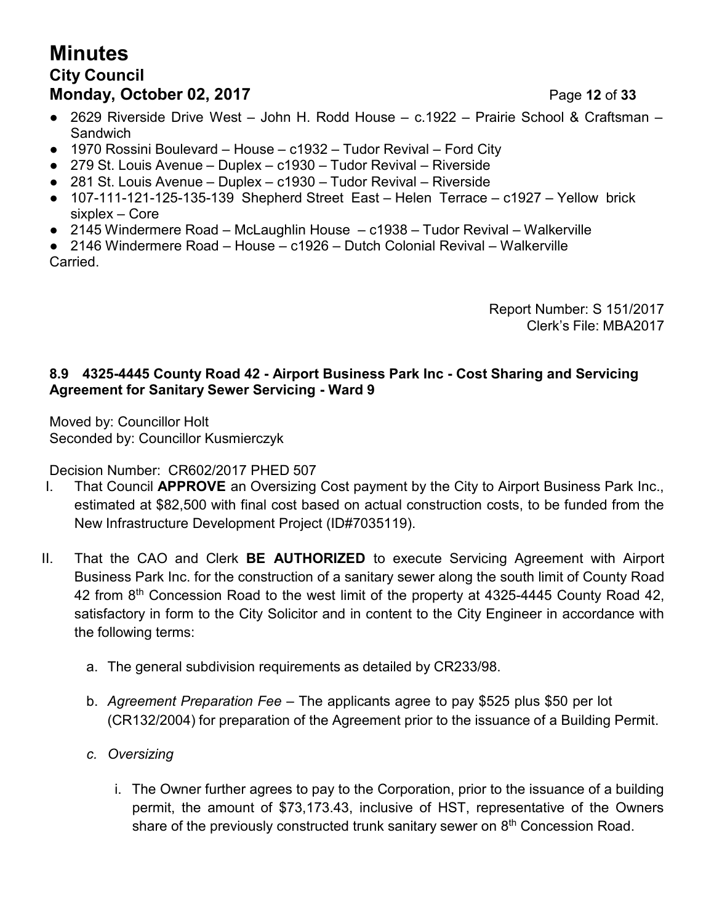# **Minutes City Council Monday, October 02, 2017 Page 12 of 33**

- 2629 Riverside Drive West John H. Rodd House c.1922 Prairie School & Craftsman **Sandwich**
- 1970 Rossini Boulevard House c1932 Tudor Revival Ford City
- 279 St. Louis Avenue Duplex c1930 Tudor Revival Riverside
- 281 St. Louis Avenue Duplex c1930 Tudor Revival Riverside
- 107-111-121-125-135-139 Shepherd Street East Helen Terrace c1927 Yellow brick sixplex – Core
- 2145 Windermere Road McLaughlin House c1938 Tudor Revival Walkerville
- 2146 Windermere Road House c1926 Dutch Colonial Revival Walkerville Carried.

Report Number: S 151/2017 Clerk's File: MBA2017

## **8.9 4325-4445 County Road 42 - Airport Business Park Inc - Cost Sharing and Servicing Agreement for Sanitary Sewer Servicing - Ward 9**

Moved by: Councillor Holt Seconded by: Councillor Kusmierczyk

Decision Number: CR602/2017 PHED 507

- I. That Council **APPROVE** an Oversizing Cost payment by the City to Airport Business Park Inc., estimated at \$82,500 with final cost based on actual construction costs, to be funded from the New Infrastructure Development Project (ID#7035119).
- II. That the CAO and Clerk **BE AUTHORIZED** to execute Servicing Agreement with Airport Business Park Inc. for the construction of a sanitary sewer along the south limit of County Road 42 from 8<sup>th</sup> Concession Road to the west limit of the property at 4325-4445 County Road 42, satisfactory in form to the City Solicitor and in content to the City Engineer in accordance with the following terms:
	- a. The general subdivision requirements as detailed by CR233/98.
	- b. *Agreement Preparation Fee* The applicants agree to pay \$525 plus \$50 per lot (CR132/2004) for preparation of the Agreement prior to the issuance of a Building Permit.
	- *c. Oversizing*
		- i. The Owner further agrees to pay to the Corporation, prior to the issuance of a building permit, the amount of \$73,173.43, inclusive of HST, representative of the Owners share of the previously constructed trunk sanitary sewer on  $8<sup>th</sup>$  Concession Road.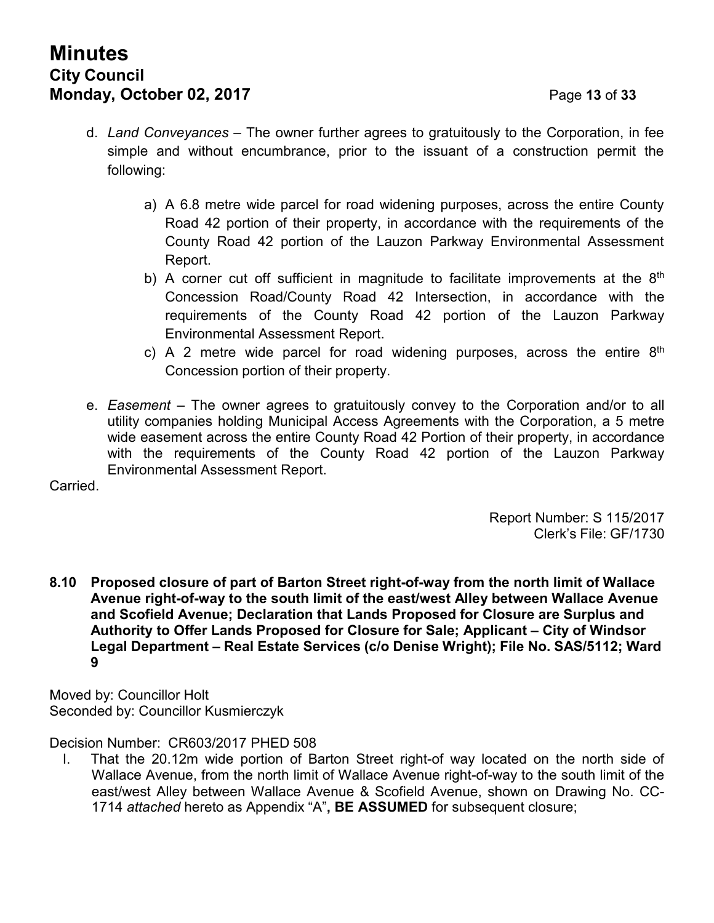## **Minutes City Council Monday, October 02, 2017** Page **13** of **33**

- d. *Land Conveyances*  The owner further agrees to gratuitously to the Corporation, in fee simple and without encumbrance, prior to the issuant of a construction permit the following:
	- a) A 6.8 metre wide parcel for road widening purposes, across the entire County Road 42 portion of their property, in accordance with the requirements of the County Road 42 portion of the Lauzon Parkway Environmental Assessment Report.
	- b) A corner cut off sufficient in magnitude to facilitate improvements at the  $8<sup>th</sup>$ Concession Road/County Road 42 Intersection, in accordance with the requirements of the County Road 42 portion of the Lauzon Parkway Environmental Assessment Report.
	- c) A 2 metre wide parcel for road widening purposes, across the entire  $8<sup>th</sup>$ Concession portion of their property.
- e. *Easement* The owner agrees to gratuitously convey to the Corporation and/or to all utility companies holding Municipal Access Agreements with the Corporation, a 5 metre wide easement across the entire County Road 42 Portion of their property, in accordance with the requirements of the County Road 42 portion of the Lauzon Parkway Environmental Assessment Report.

Carried.

Report Number: S 115/2017 Clerk's File: GF/1730

**8.10 Proposed closure of part of Barton Street right-of-way from the north limit of Wallace Avenue right-of-way to the south limit of the east/west Alley between Wallace Avenue and Scofield Avenue; Declaration that Lands Proposed for Closure are Surplus and Authority to Offer Lands Proposed for Closure for Sale; Applicant – City of Windsor Legal Department – Real Estate Services (c/o Denise Wright); File No. SAS/5112; Ward 9**

Moved by: Councillor Holt Seconded by: Councillor Kusmierczyk

Decision Number: CR603/2017 PHED 508

I. That the 20.12m wide portion of Barton Street right-of way located on the north side of Wallace Avenue, from the north limit of Wallace Avenue right-of-way to the south limit of the east/west Alley between Wallace Avenue & Scofield Avenue, shown on Drawing No. CC-1714 *attached* hereto as Appendix "A"**, BE ASSUMED** for subsequent closure;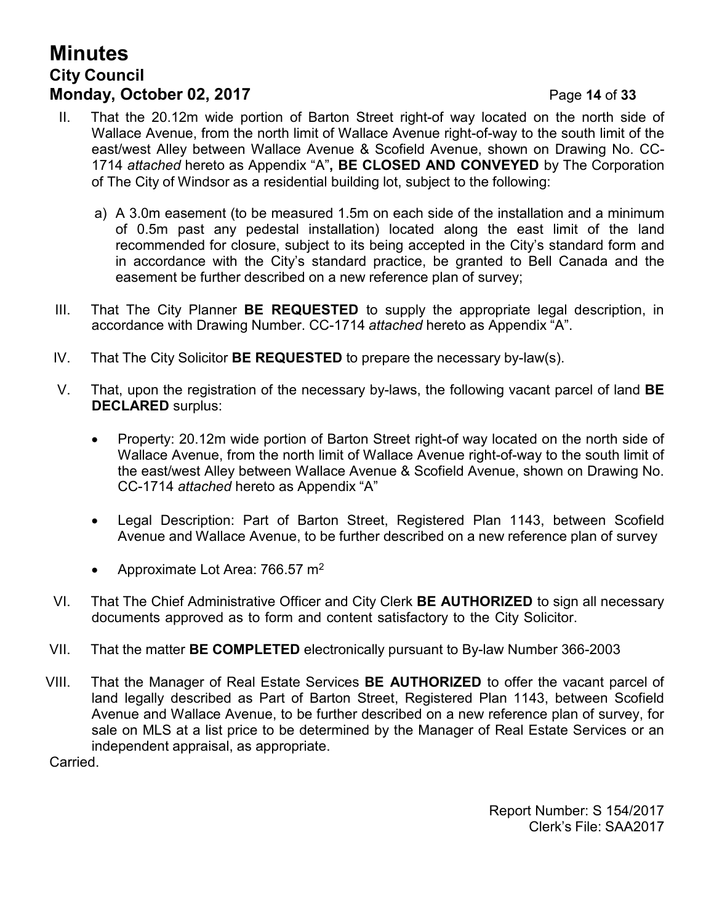# **Minutes City Council Monday, October 02, 2017** Page 14 of 33

- II. That the 20.12m wide portion of Barton Street right-of way located on the north side of Wallace Avenue, from the north limit of Wallace Avenue right-of-way to the south limit of the east/west Alley between Wallace Avenue & Scofield Avenue, shown on Drawing No. CC-1714 *attached* hereto as Appendix "A"**, BE CLOSED AND CONVEYED** by The Corporation of The City of Windsor as a residential building lot, subject to the following:
	- a) A 3.0m easement (to be measured 1.5m on each side of the installation and a minimum of 0.5m past any pedestal installation) located along the east limit of the land recommended for closure, subject to its being accepted in the City's standard form and in accordance with the City's standard practice, be granted to Bell Canada and the easement be further described on a new reference plan of survey;
- III. That The City Planner **BE REQUESTED** to supply the appropriate legal description, in accordance with Drawing Number. CC-1714 *attached* hereto as Appendix "A".
- IV. That The City Solicitor **BE REQUESTED** to prepare the necessary by-law(s).
- V. That, upon the registration of the necessary by-laws, the following vacant parcel of land **BE DECLARED** surplus:
	- Property: 20.12m wide portion of Barton Street right-of way located on the north side of Wallace Avenue, from the north limit of Wallace Avenue right-of-way to the south limit of the east/west Alley between Wallace Avenue & Scofield Avenue, shown on Drawing No. CC-1714 *attached* hereto as Appendix "A"
	- Legal Description: Part of Barton Street, Registered Plan 1143, between Scofield Avenue and Wallace Avenue, to be further described on a new reference plan of survey
	- Approximate Lot Area: 766.57 m<sup>2</sup>
- VI. That The Chief Administrative Officer and City Clerk **BE AUTHORIZED** to sign all necessary documents approved as to form and content satisfactory to the City Solicitor.
- VII. That the matter **BE COMPLETED** electronically pursuant to By-law Number 366-2003
- VIII. That the Manager of Real Estate Services **BE AUTHORIZED** to offer the vacant parcel of land legally described as Part of Barton Street, Registered Plan 1143, between Scofield Avenue and Wallace Avenue, to be further described on a new reference plan of survey, for sale on MLS at a list price to be determined by the Manager of Real Estate Services or an independent appraisal, as appropriate.

Carried.

Report Number: S 154/2017 Clerk's File: SAA2017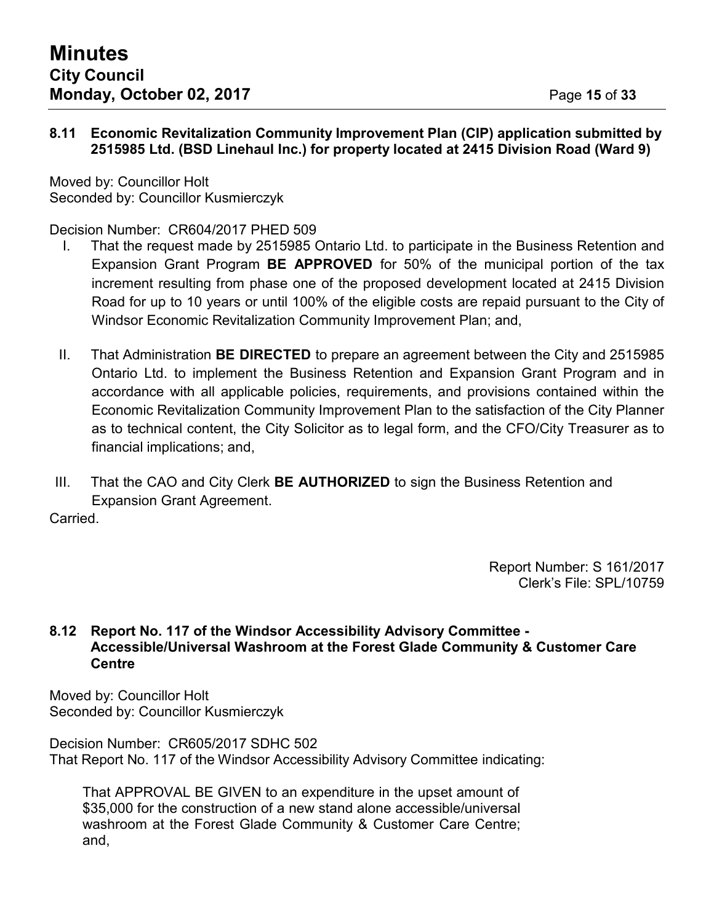Moved by: Councillor Holt Seconded by: Councillor Kusmierczyk

Decision Number: CR604/2017 PHED 509

- I. That the request made by 2515985 Ontario Ltd. to participate in the Business Retention and Expansion Grant Program **BE APPROVED** for 50% of the municipal portion of the tax increment resulting from phase one of the proposed development located at 2415 Division Road for up to 10 years or until 100% of the eligible costs are repaid pursuant to the City of Windsor Economic Revitalization Community Improvement Plan; and,
- II. That Administration **BE DIRECTED** to prepare an agreement between the City and 2515985 Ontario Ltd. to implement the Business Retention and Expansion Grant Program and in accordance with all applicable policies, requirements, and provisions contained within the Economic Revitalization Community Improvement Plan to the satisfaction of the City Planner as to technical content, the City Solicitor as to legal form, and the CFO/City Treasurer as to financial implications; and,
- III. That the CAO and City Clerk **BE AUTHORIZED** to sign the Business Retention and Expansion Grant Agreement.

Carried.

Report Number: S 161/2017 Clerk's File: SPL/10759

### **8.12 Report No. 117 of the Windsor Accessibility Advisory Committee - Accessible/Universal Washroom at the Forest Glade Community & Customer Care Centre**

Moved by: Councillor Holt Seconded by: Councillor Kusmierczyk

Decision Number: CR605/2017 SDHC 502 That Report No. 117 of the Windsor Accessibility Advisory Committee indicating:

That APPROVAL BE GIVEN to an expenditure in the upset amount of \$35,000 for the construction of a new stand alone accessible/universal washroom at the Forest Glade Community & Customer Care Centre; and,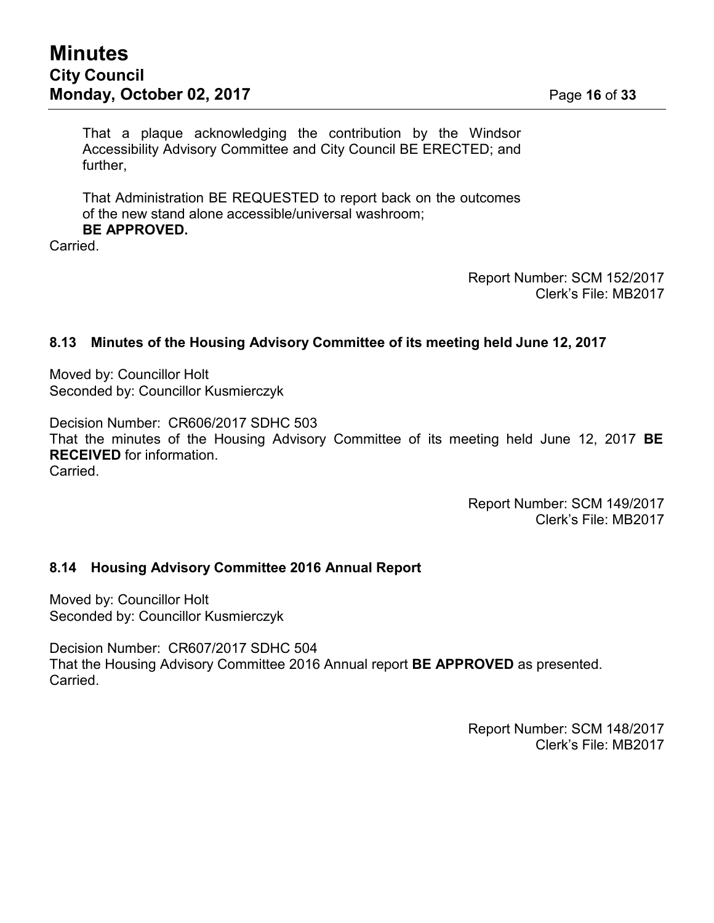That a plaque acknowledging the contribution by the Windsor Accessibility Advisory Committee and City Council BE ERECTED; and further,

That Administration BE REQUESTED to report back on the outcomes of the new stand alone accessible/universal washroom; **BE APPROVED.**

Carried.

Report Number: SCM 152/2017 Clerk's File: MB2017

#### **8.13 Minutes of the Housing Advisory Committee of its meeting held June 12, 2017**

Moved by: Councillor Holt Seconded by: Councillor Kusmierczyk

Decision Number: CR606/2017 SDHC 503 That the minutes of the Housing Advisory Committee of its meeting held June 12, 2017 **BE RECEIVED** for information. **Carried** 

> Report Number: SCM 149/2017 Clerk's File: MB2017

#### **8.14 Housing Advisory Committee 2016 Annual Report**

Moved by: Councillor Holt Seconded by: Councillor Kusmierczyk

Decision Number: CR607/2017 SDHC 504 That the Housing Advisory Committee 2016 Annual report **BE APPROVED** as presented. Carried.

> Report Number: SCM 148/2017 Clerk's File: MB2017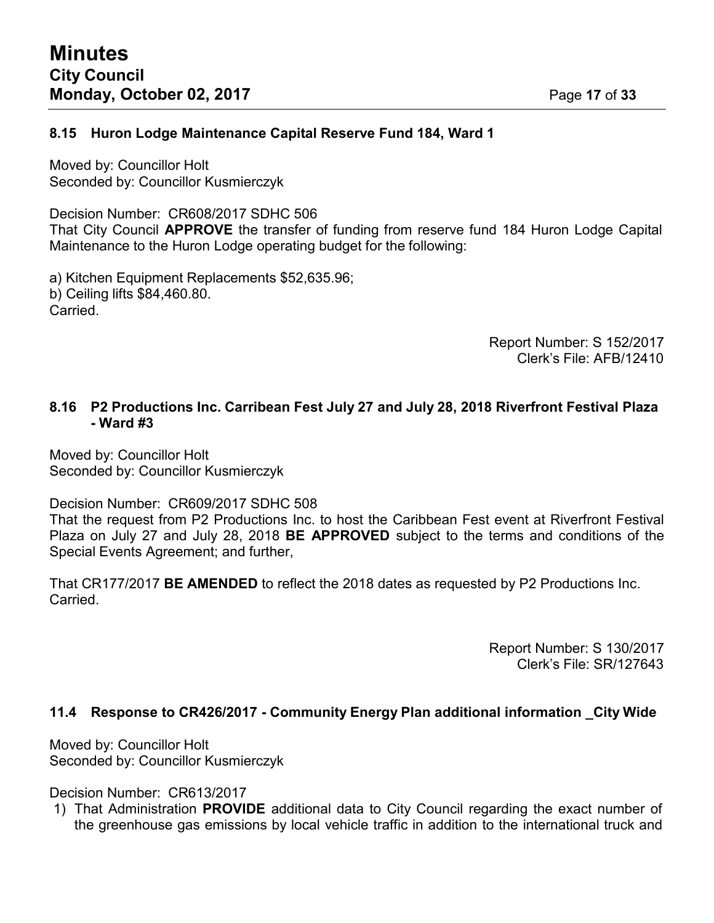#### **8.15 Huron Lodge Maintenance Capital Reserve Fund 184, Ward 1**

Moved by: Councillor Holt Seconded by: Councillor Kusmierczyk

Decision Number: CR608/2017 SDHC 506 That City Council **APPROVE** the transfer of funding from reserve fund 184 Huron Lodge Capital Maintenance to the Huron Lodge operating budget for the following:

a) Kitchen Equipment Replacements \$52,635.96; b) Ceiling lifts \$84,460.80. Carried.

> Report Number: S 152/2017 Clerk's File: AFB/12410

#### **8.16 P2 Productions Inc. Carribean Fest July 27 and July 28, 2018 Riverfront Festival Plaza - Ward #3**

Moved by: Councillor Holt Seconded by: Councillor Kusmierczyk

Decision Number: CR609/2017 SDHC 508

That the request from P2 Productions Inc. to host the Caribbean Fest event at Riverfront Festival Plaza on July 27 and July 28, 2018 **BE APPROVED** subject to the terms and conditions of the Special Events Agreement; and further,

That CR177/2017 **BE AMENDED** to reflect the 2018 dates as requested by P2 Productions Inc. Carried.

> Report Number: S 130/2017 Clerk's File: SR/127643

#### **11.4 Response to CR426/2017 - Community Energy Plan additional information \_City Wide**

Moved by: Councillor Holt Seconded by: Councillor Kusmierczyk

Decision Number: CR613/2017

1) That Administration **PROVIDE** additional data to City Council regarding the exact number of the greenhouse gas emissions by local vehicle traffic in addition to the international truck and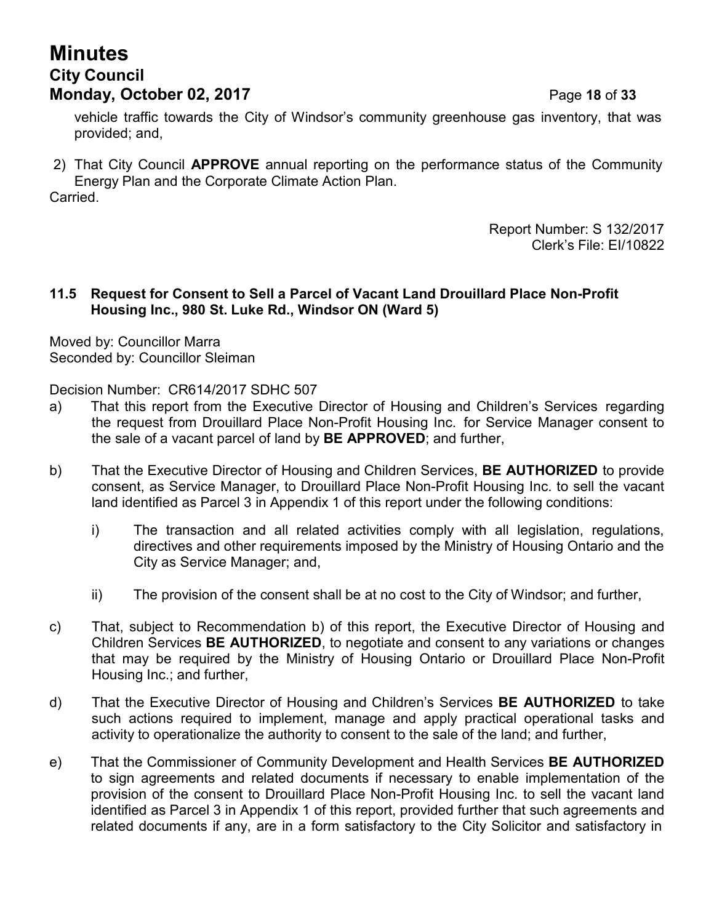## **Minutes City Council Monday, October 02, 2017** Page 18 of 33

vehicle traffic towards the City of Windsor's community greenhouse gas inventory, that was provided; and,

2) That City Council **APPROVE** annual reporting on the performance status of the Community Energy Plan and the Corporate Climate Action Plan. Carried.

> Report Number: S 132/2017 Clerk's File: EI/10822

#### **11.5 Request for Consent to Sell a Parcel of Vacant Land Drouillard Place Non-Profit Housing Inc., 980 St. Luke Rd., Windsor ON (Ward 5)**

Moved by: Councillor Marra Seconded by: Councillor Sleiman

Decision Number: CR614/2017 SDHC 507

- a) That this report from the Executive Director of Housing and Children's Services regarding the request from Drouillard Place Non-Profit Housing Inc. for Service Manager consent to the sale of a vacant parcel of land by **BE APPROVED**; and further,
- b) That the Executive Director of Housing and Children Services, **BE AUTHORIZED** to provide consent, as Service Manager, to Drouillard Place Non-Profit Housing Inc. to sell the vacant land identified as Parcel 3 in Appendix 1 of this report under the following conditions:
	- i) The transaction and all related activities comply with all legislation, regulations, directives and other requirements imposed by the Ministry of Housing Ontario and the City as Service Manager; and,
	- ii) The provision of the consent shall be at no cost to the City of Windsor; and further,
- c) That, subject to Recommendation b) of this report, the Executive Director of Housing and Children Services **BE AUTHORIZED**, to negotiate and consent to any variations or changes that may be required by the Ministry of Housing Ontario or Drouillard Place Non-Profit Housing Inc.; and further,
- d) That the Executive Director of Housing and Children's Services **BE AUTHORIZED** to take such actions required to implement, manage and apply practical operational tasks and activity to operationalize the authority to consent to the sale of the land; and further,
- e) That the Commissioner of Community Development and Health Services **BE AUTHORIZED** to sign agreements and related documents if necessary to enable implementation of the provision of the consent to Drouillard Place Non-Profit Housing Inc. to sell the vacant land identified as Parcel 3 in Appendix 1 of this report, provided further that such agreements and related documents if any, are in a form satisfactory to the City Solicitor and satisfactory in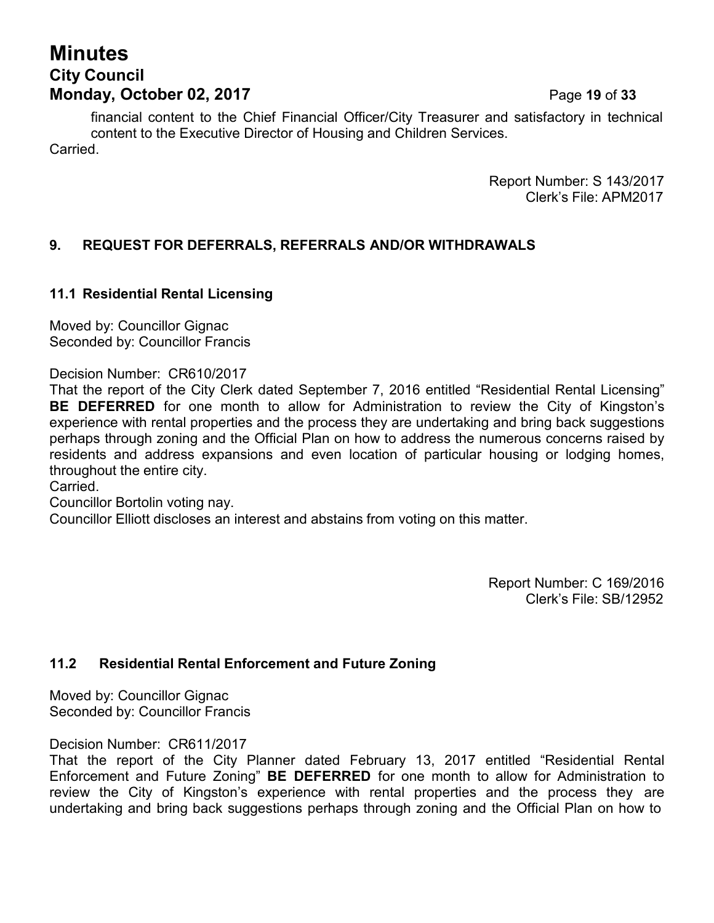# **Minutes City Council Monday, October 02, 2017 Page 19 of 33**

financial content to the Chief Financial Officer/City Treasurer and satisfactory in technical content to the Executive Director of Housing and Children Services. Carried.

> Report Number: S 143/2017 Clerk's File: APM2017

## **9. REQUEST FOR DEFERRALS, REFERRALS AND/OR WITHDRAWALS**

#### **11.1 Residential Rental Licensing**

Moved by: Councillor Gignac Seconded by: Councillor Francis

Decision Number: CR610/2017

That the report of the City Clerk dated September 7, 2016 entitled "Residential Rental Licensing" **BE DEFERRED** for one month to allow for Administration to review the City of Kingston's experience with rental properties and the process they are undertaking and bring back suggestions perhaps through zoning and the Official Plan on how to address the numerous concerns raised by residents and address expansions and even location of particular housing or lodging homes, throughout the entire city.

Carried.

Councillor Bortolin voting nay.

Councillor Elliott discloses an interest and abstains from voting on this matter.

Report Number: C 169/2016 Clerk's File: SB/12952

#### **11.2 Residential Rental Enforcement and Future Zoning**

Moved by: Councillor Gignac Seconded by: Councillor Francis

#### Decision Number: CR611/2017

That the report of the City Planner dated February 13, 2017 entitled "Residential Rental Enforcement and Future Zoning" **BE DEFERRED** for one month to allow for Administration to review the City of Kingston's experience with rental properties and the process they are undertaking and bring back suggestions perhaps through zoning and the Official Plan on how to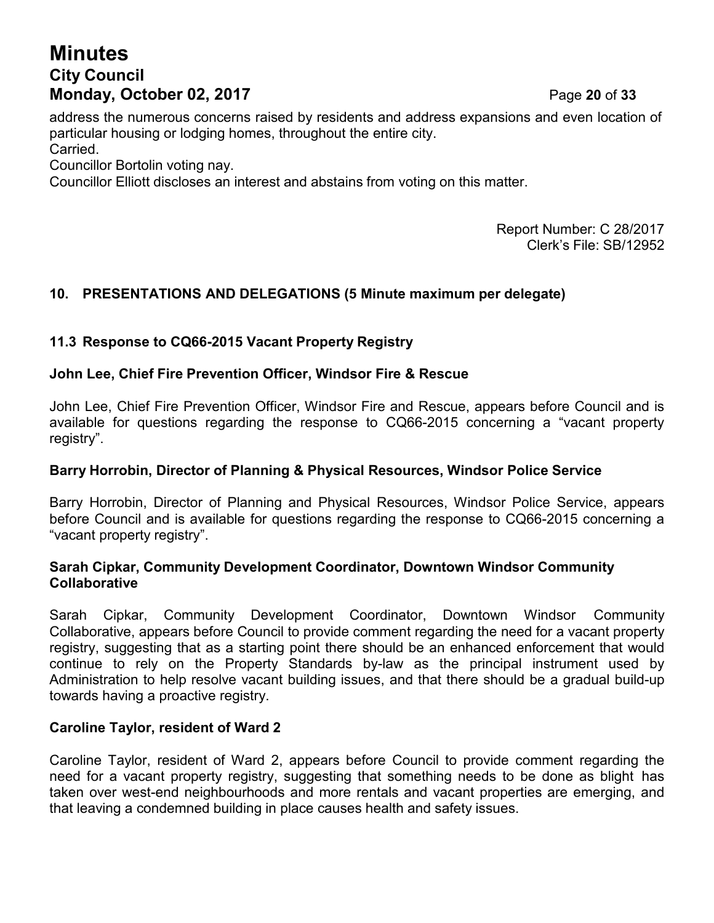# **Minutes City Council Monday, October 02, 2017** Page **20** of **33**

address the numerous concerns raised by residents and address expansions and even location of particular housing or lodging homes, throughout the entire city. Carried. Councillor Bortolin voting nay.

Councillor Elliott discloses an interest and abstains from voting on this matter.

Report Number: C 28/2017 Clerk's File: SB/12952

## **10. PRESENTATIONS AND DELEGATIONS (5 Minute maximum per delegate)**

#### **11.3 Response to CQ66-2015 Vacant Property Registry**

#### **John Lee, Chief Fire Prevention Officer, Windsor Fire & Rescue**

John Lee, Chief Fire Prevention Officer, Windsor Fire and Rescue, appears before Council and is available for questions regarding the response to CQ66-2015 concerning a "vacant property registry".

#### **Barry Horrobin, Director of Planning & Physical Resources, Windsor Police Service**

Barry Horrobin, Director of Planning and Physical Resources, Windsor Police Service, appears before Council and is available for questions regarding the response to CQ66-2015 concerning a "vacant property registry".

#### **Sarah Cipkar, Community Development Coordinator, Downtown Windsor Community Collaborative**

Sarah Cipkar, Community Development Coordinator, Downtown Windsor Community Collaborative, appears before Council to provide comment regarding the need for a vacant property registry, suggesting that as a starting point there should be an enhanced enforcement that would continue to rely on the Property Standards by-law as the principal instrument used by Administration to help resolve vacant building issues, and that there should be a gradual build-up towards having a proactive registry.

#### **Caroline Taylor, resident of Ward 2**

Caroline Taylor, resident of Ward 2, appears before Council to provide comment regarding the need for a vacant property registry, suggesting that something needs to be done as blight has taken over west-end neighbourhoods and more rentals and vacant properties are emerging, and that leaving a condemned building in place causes health and safety issues.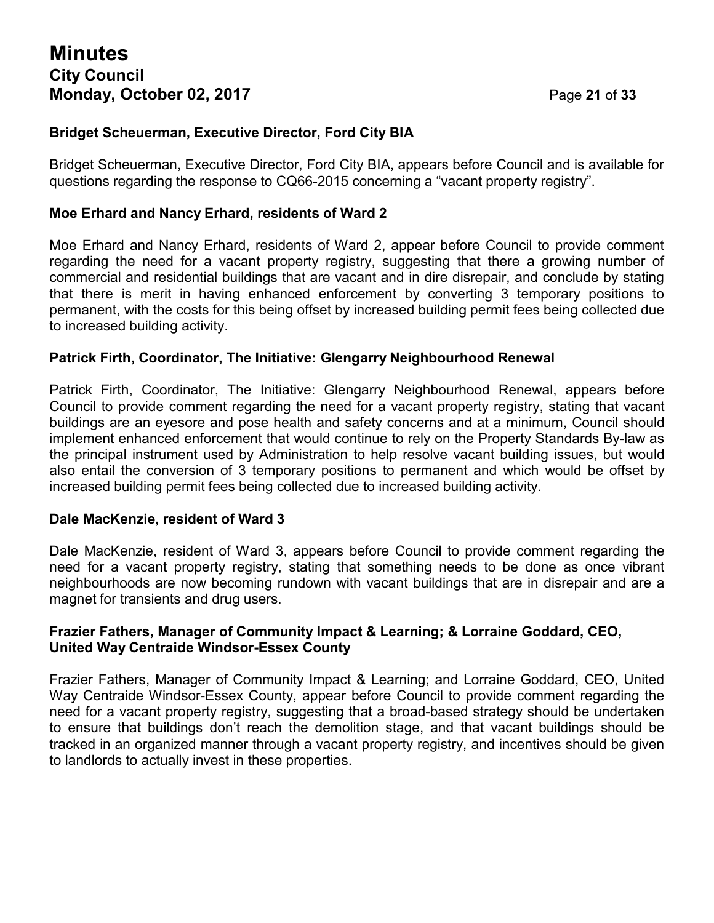# **Minutes City Council Monday, October 02, 2017** Page 21 of 33

#### **Bridget Scheuerman, Executive Director, Ford City BIA**

Bridget Scheuerman, Executive Director, Ford City BIA, appears before Council and is available for questions regarding the response to CQ66-2015 concerning a "vacant property registry".

#### **Moe Erhard and Nancy Erhard, residents of Ward 2**

Moe Erhard and Nancy Erhard, residents of Ward 2, appear before Council to provide comment regarding the need for a vacant property registry, suggesting that there a growing number of commercial and residential buildings that are vacant and in dire disrepair, and conclude by stating that there is merit in having enhanced enforcement by converting 3 temporary positions to permanent, with the costs for this being offset by increased building permit fees being collected due to increased building activity.

#### **Patrick Firth, Coordinator, The Initiative: Glengarry Neighbourhood Renewal**

Patrick Firth, Coordinator, The Initiative: Glengarry Neighbourhood Renewal, appears before Council to provide comment regarding the need for a vacant property registry, stating that vacant buildings are an eyesore and pose health and safety concerns and at a minimum, Council should implement enhanced enforcement that would continue to rely on the Property Standards By-law as the principal instrument used by Administration to help resolve vacant building issues, but would also entail the conversion of 3 temporary positions to permanent and which would be offset by increased building permit fees being collected due to increased building activity.

#### **Dale MacKenzie, resident of Ward 3**

Dale MacKenzie, resident of Ward 3, appears before Council to provide comment regarding the need for a vacant property registry, stating that something needs to be done as once vibrant neighbourhoods are now becoming rundown with vacant buildings that are in disrepair and are a magnet for transients and drug users.

#### **Frazier Fathers, Manager of Community Impact & Learning; & Lorraine Goddard, CEO, United Way Centraide Windsor-Essex County**

Frazier Fathers, Manager of Community Impact & Learning; and Lorraine Goddard, CEO, United Way Centraide Windsor-Essex County, appear before Council to provide comment regarding the need for a vacant property registry, suggesting that a broad-based strategy should be undertaken to ensure that buildings don't reach the demolition stage, and that vacant buildings should be tracked in an organized manner through a vacant property registry, and incentives should be given to landlords to actually invest in these properties.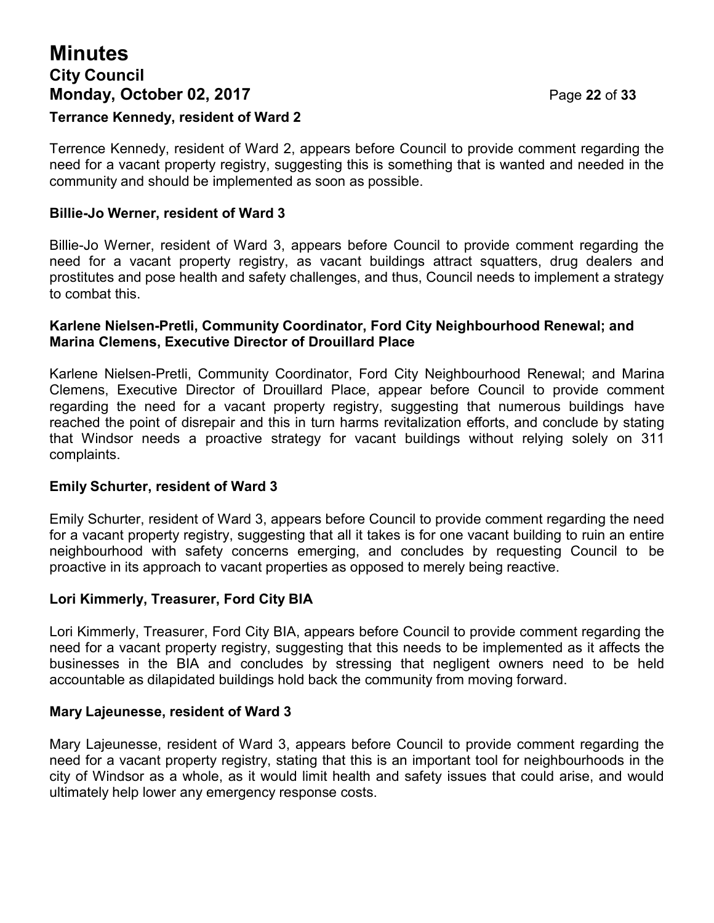# **Minutes City Council Monday, October 02, 2017** Page **22** of **33**

### **Terrance Kennedy, resident of Ward 2**

Terrence Kennedy, resident of Ward 2, appears before Council to provide comment regarding the need for a vacant property registry, suggesting this is something that is wanted and needed in the community and should be implemented as soon as possible.

#### **Billie-Jo Werner, resident of Ward 3**

Billie-Jo Werner, resident of Ward 3, appears before Council to provide comment regarding the need for a vacant property registry, as vacant buildings attract squatters, drug dealers and prostitutes and pose health and safety challenges, and thus, Council needs to implement a strategy to combat this.

#### **Karlene Nielsen-Pretli, Community Coordinator, Ford City Neighbourhood Renewal; and Marina Clemens, Executive Director of Drouillard Place**

Karlene Nielsen-Pretli, Community Coordinator, Ford City Neighbourhood Renewal; and Marina Clemens, Executive Director of Drouillard Place, appear before Council to provide comment regarding the need for a vacant property registry, suggesting that numerous buildings have reached the point of disrepair and this in turn harms revitalization efforts, and conclude by stating that Windsor needs a proactive strategy for vacant buildings without relying solely on 311 complaints.

### **Emily Schurter, resident of Ward 3**

Emily Schurter, resident of Ward 3, appears before Council to provide comment regarding the need for a vacant property registry, suggesting that all it takes is for one vacant building to ruin an entire neighbourhood with safety concerns emerging, and concludes by requesting Council to be proactive in its approach to vacant properties as opposed to merely being reactive.

### **Lori Kimmerly, Treasurer, Ford City BIA**

Lori Kimmerly, Treasurer, Ford City BIA, appears before Council to provide comment regarding the need for a vacant property registry, suggesting that this needs to be implemented as it affects the businesses in the BIA and concludes by stressing that negligent owners need to be held accountable as dilapidated buildings hold back the community from moving forward.

#### **Mary Lajeunesse, resident of Ward 3**

Mary Lajeunesse, resident of Ward 3, appears before Council to provide comment regarding the need for a vacant property registry, stating that this is an important tool for neighbourhoods in the city of Windsor as a whole, as it would limit health and safety issues that could arise, and would ultimately help lower any emergency response costs.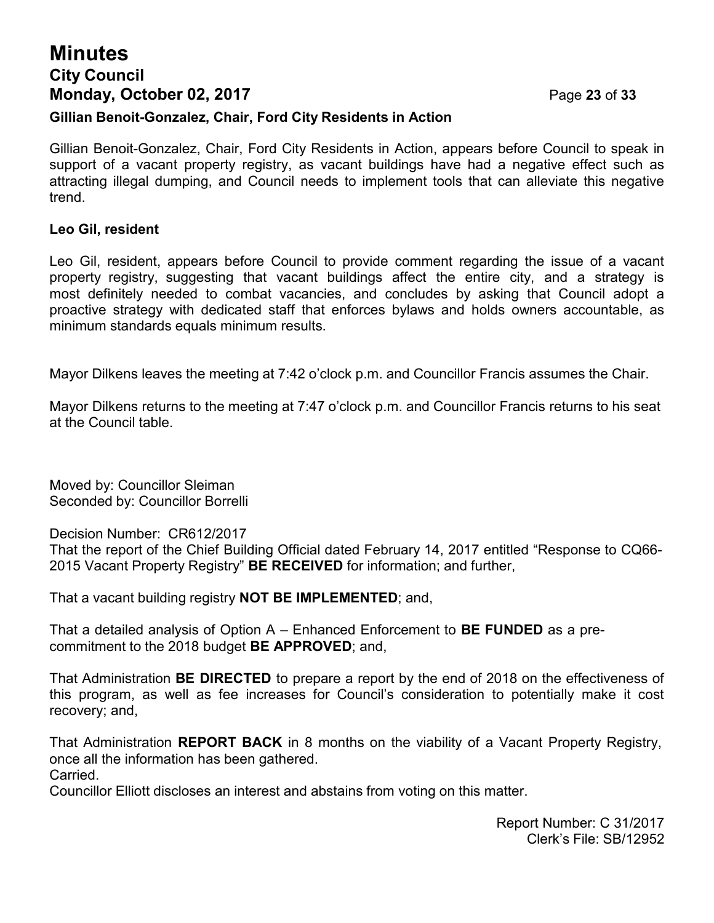# **Minutes City Council Monday, October 02, 2017** Page 23 of 33

**Gillian Benoit-Gonzalez, Chair, Ford City Residents in Action**

Gillian Benoit-Gonzalez, Chair, Ford City Residents in Action, appears before Council to speak in support of a vacant property registry, as vacant buildings have had a negative effect such as attracting illegal dumping, and Council needs to implement tools that can alleviate this negative trend.

#### **Leo Gil, resident**

Leo Gil, resident, appears before Council to provide comment regarding the issue of a vacant property registry, suggesting that vacant buildings affect the entire city, and a strategy is most definitely needed to combat vacancies, and concludes by asking that Council adopt a proactive strategy with dedicated staff that enforces bylaws and holds owners accountable, as minimum standards equals minimum results.

Mayor Dilkens leaves the meeting at 7:42 o'clock p.m. and Councillor Francis assumes the Chair.

Mayor Dilkens returns to the meeting at 7:47 o'clock p.m. and Councillor Francis returns to his seat at the Council table.

Moved by: Councillor Sleiman Seconded by: Councillor Borrelli

Decision Number: CR612/2017

That the report of the Chief Building Official dated February 14, 2017 entitled "Response to CQ66- 2015 Vacant Property Registry" **BE RECEIVED** for information; and further,

That a vacant building registry **NOT BE IMPLEMENTED**; and,

That a detailed analysis of Option A – Enhanced Enforcement to **BE FUNDED** as a precommitment to the 2018 budget **BE APPROVED**; and,

That Administration **BE DIRECTED** to prepare a report by the end of 2018 on the effectiveness of this program, as well as fee increases for Council's consideration to potentially make it cost recovery; and,

That Administration **REPORT BACK** in 8 months on the viability of a Vacant Property Registry, once all the information has been gathered. Carried.

Councillor Elliott discloses an interest and abstains from voting on this matter.

Report Number: C 31/2017 Clerk's File: SB/12952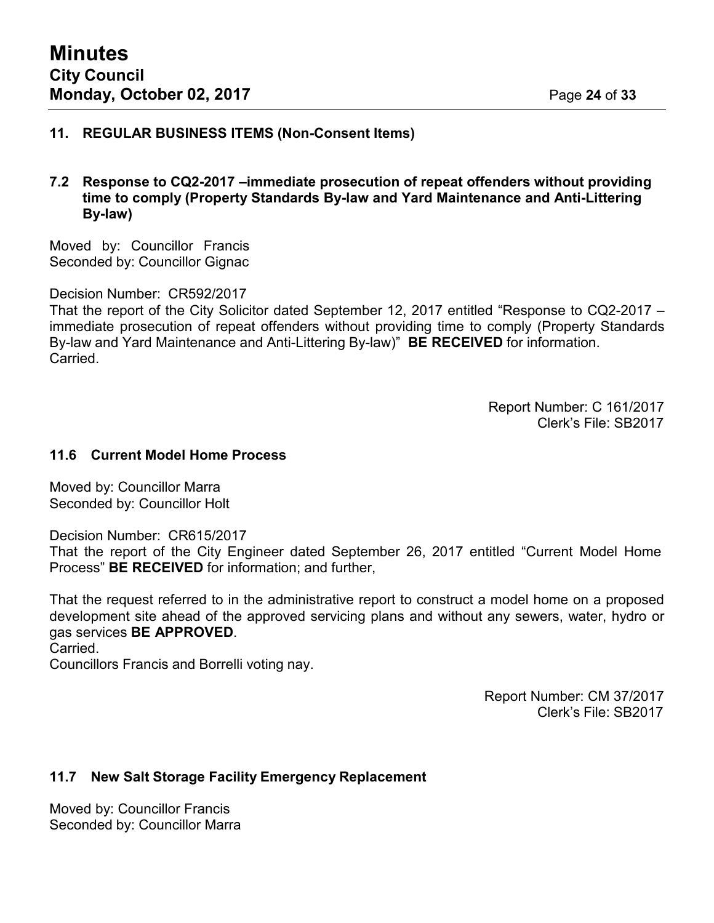**11. REGULAR BUSINESS ITEMS (Non-Consent Items)**

#### **7.2 Response to CQ2-2017 –immediate prosecution of repeat offenders without providing time to comply (Property Standards By-law and Yard Maintenance and Anti-Littering By-law)**

Moved by: Councillor Francis Seconded by: Councillor Gignac

Decision Number: CR592/2017

That the report of the City Solicitor dated September 12, 2017 entitled "Response to CQ2-2017 – immediate prosecution of repeat offenders without providing time to comply (Property Standards By-law and Yard Maintenance and Anti-Littering By-law)" **BE RECEIVED** for information. Carried.

> Report Number: C 161/2017 Clerk's File: SB2017

#### **11.6 Current Model Home Process**

Moved by: Councillor Marra Seconded by: Councillor Holt

Decision Number: CR615/2017

That the report of the City Engineer dated September 26, 2017 entitled "Current Model Home Process" **BE RECEIVED** for information; and further,

That the request referred to in the administrative report to construct a model home on a proposed development site ahead of the approved servicing plans and without any sewers, water, hydro or gas services **BE APPROVED**.

Carried.

Councillors Francis and Borrelli voting nay.

Report Number: CM 37/2017 Clerk's File: SB2017

#### **11.7 New Salt Storage Facility Emergency Replacement**

Moved by: Councillor Francis Seconded by: Councillor Marra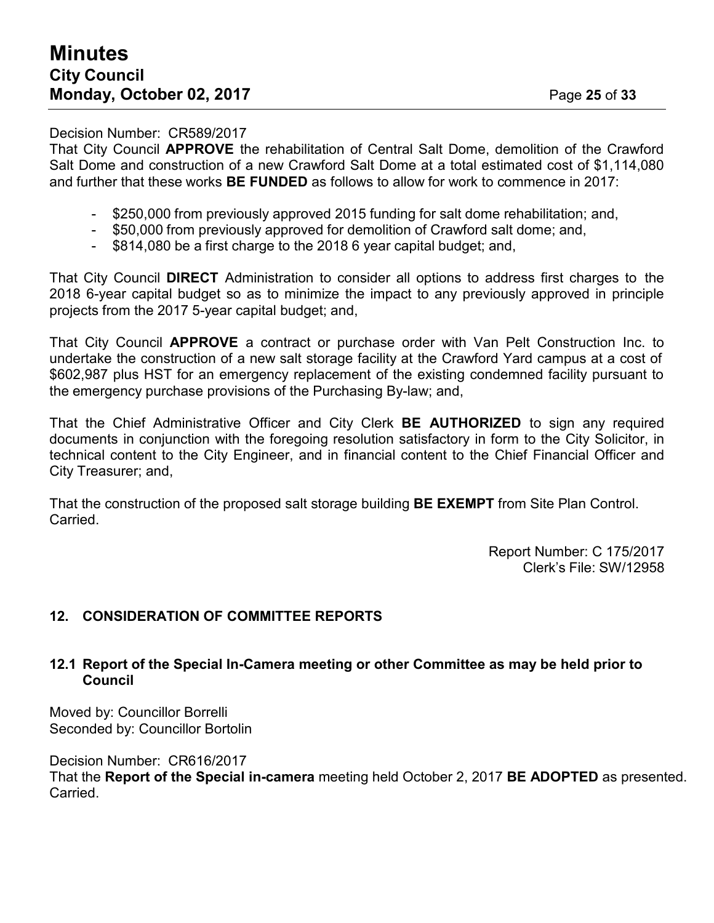#### Decision Number: CR589/2017

That City Council **APPROVE** the rehabilitation of Central Salt Dome, demolition of the Crawford Salt Dome and construction of a new Crawford Salt Dome at a total estimated cost of \$1,114,080 and further that these works **BE FUNDED** as follows to allow for work to commence in 2017:

- \$250,000 from previously approved 2015 funding for salt dome rehabilitation; and,
- \$50,000 from previously approved for demolition of Crawford salt dome; and,
- \$814,080 be a first charge to the 2018 6 year capital budget; and,

That City Council **DIRECT** Administration to consider all options to address first charges to the 2018 6-year capital budget so as to minimize the impact to any previously approved in principle projects from the 2017 5-year capital budget; and,

That City Council **APPROVE** a contract or purchase order with Van Pelt Construction Inc. to undertake the construction of a new salt storage facility at the Crawford Yard campus at a cost of \$602,987 plus HST for an emergency replacement of the existing condemned facility pursuant to the emergency purchase provisions of the Purchasing By-law; and,

That the Chief Administrative Officer and City Clerk **BE AUTHORIZED** to sign any required documents in conjunction with the foregoing resolution satisfactory in form to the City Solicitor, in technical content to the City Engineer, and in financial content to the Chief Financial Officer and City Treasurer; and,

That the construction of the proposed salt storage building **BE EXEMPT** from Site Plan Control. Carried.

> Report Number: C 175/2017 Clerk's File: SW/12958

#### **12. CONSIDERATION OF COMMITTEE REPORTS**

#### **12.1 Report of the Special In-Camera meeting or other Committee as may be held prior to Council**

Moved by: Councillor Borrelli Seconded by: Councillor Bortolin

Decision Number: CR616/2017 That the **Report of the Special in-camera** meeting held October 2, 2017 **BE ADOPTED** as presented. Carried.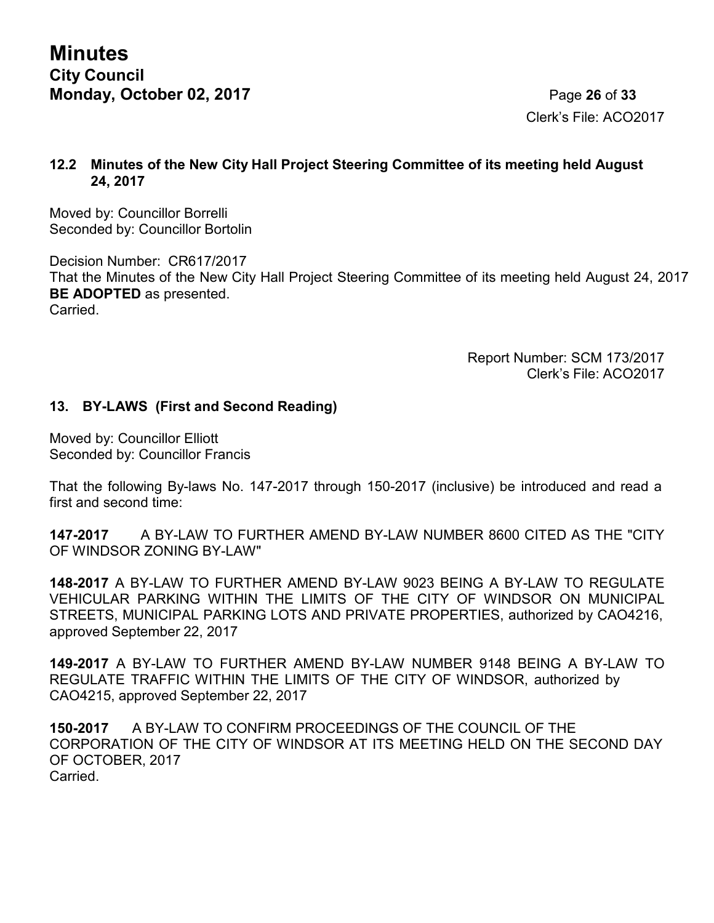**Minutes City Council Monday, October 02, 2017 Page 26 of 33** 

Clerk's File: ACO2017

#### **12.2 Minutes of the New City Hall Project Steering Committee of its meeting held August 24, 2017**

Moved by: Councillor Borrelli Seconded by: Councillor Bortolin

Decision Number: CR617/2017 That the Minutes of the New City Hall Project Steering Committee of its meeting held August 24, 2017 **BE ADOPTED** as presented. Carried.

> Report Number: SCM 173/2017 Clerk's File: ACO2017

#### **13. BY-LAWS (First and Second Reading)**

Moved by: Councillor Elliott Seconded by: Councillor Francis

That the following By-laws No. 147-2017 through 150-2017 (inclusive) be introduced and read a first and second time:

**147-2017** A BY-LAW TO FURTHER AMEND BY-LAW NUMBER 8600 CITED AS THE "CITY OF WINDSOR ZONING BY-LAW"

**148-2017** A BY-LAW TO FURTHER AMEND BY-LAW 9023 BEING A BY-LAW TO REGULATE VEHICULAR PARKING WITHIN THE LIMITS OF THE CITY OF WINDSOR ON MUNICIPAL STREETS, MUNICIPAL PARKING LOTS AND PRIVATE PROPERTIES, authorized by CAO4216, approved September 22, 2017

**149-2017** A BY-LAW TO FURTHER AMEND BY-LAW NUMBER 9148 BEING A BY-LAW TO REGULATE TRAFFIC WITHIN THE LIMITS OF THE CITY OF WINDSOR, authorized by CAO4215, approved September 22, 2017

**150-2017** A BY-LAW TO CONFIRM PROCEEDINGS OF THE COUNCIL OF THE CORPORATION OF THE CITY OF WINDSOR AT ITS MEETING HELD ON THE SECOND DAY OF OCTOBER, 2017 Carried.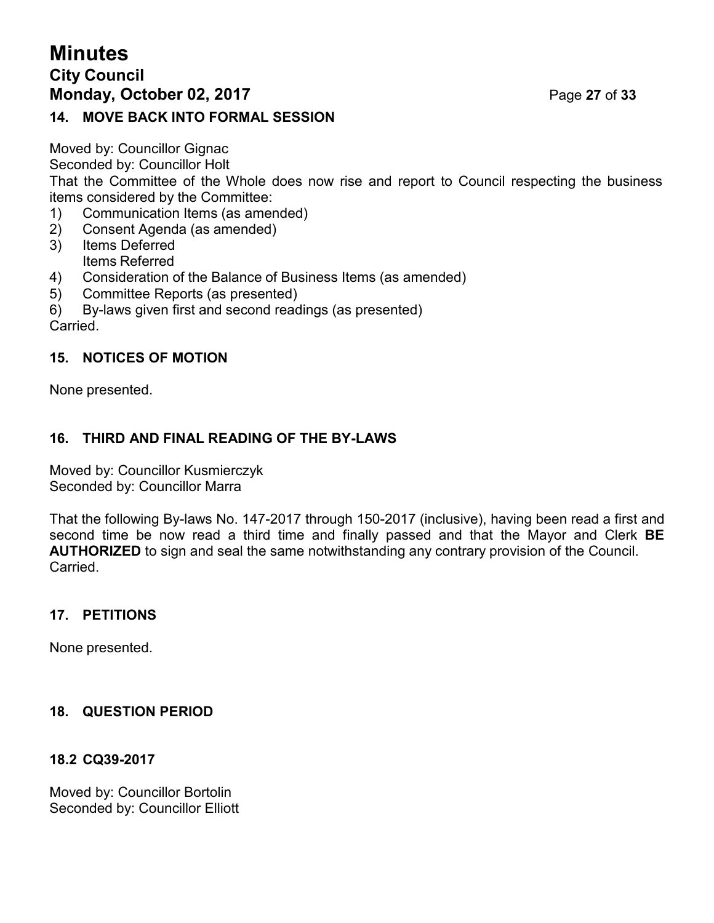# **Minutes City Council Monday, October 02, 2017** Page **27** of **33**

#### **14. MOVE BACK INTO FORMAL SESSION**

Moved by: Councillor Gignac Seconded by: Councillor Holt That the Committee of the Whole does now rise and report to Council respecting the business items considered by the Committee:

- 1) Communication Items (as amended)
- 2) Consent Agenda (as amended)
- 3) Items Deferred Items Referred
- 4) Consideration of the Balance of Business Items (as amended)
- 5) Committee Reports (as presented)
- 6) By-laws given first and second readings (as presented)

Carried.

## **15. NOTICES OF MOTION**

None presented.

## **16. THIRD AND FINAL READING OF THE BY-LAWS**

Moved by: Councillor Kusmierczyk Seconded by: Councillor Marra

That the following By-laws No. 147-2017 through 150-2017 (inclusive), having been read a first and second time be now read a third time and finally passed and that the Mayor and Clerk **BE AUTHORIZED** to sign and seal the same notwithstanding any contrary provision of the Council. **Carried** 

### **17. PETITIONS**

None presented.

### **18. QUESTION PERIOD**

### **18.2 CQ39-2017**

Moved by: Councillor Bortolin Seconded by: Councillor Elliott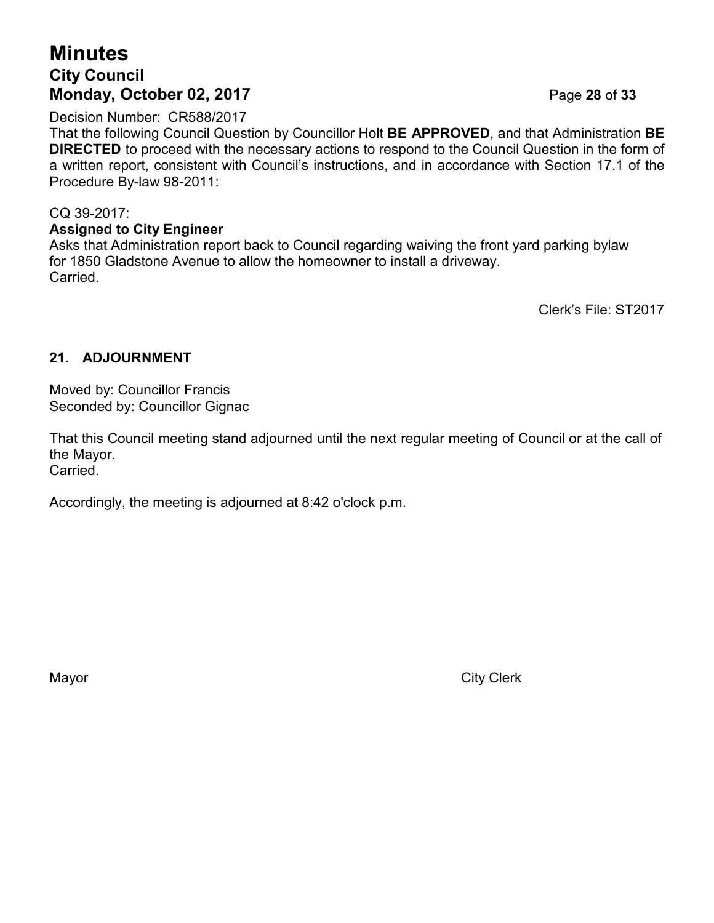## **Minutes City Council Monday, October 02, 2017** Page **28** of **33**

Decision Number: CR588/2017

That the following Council Question by Councillor Holt **BE APPROVED**, and that Administration **BE DIRECTED** to proceed with the necessary actions to respond to the Council Question in the form of a written report, consistent with Council's instructions, and in accordance with Section 17.1 of the Procedure By-law 98-2011:

#### CQ 39-2017:

#### **Assigned to City Engineer**

Asks that Administration report back to Council regarding waiving the front yard parking bylaw for 1850 Gladstone Avenue to allow the homeowner to install a driveway. Carried.

Clerk's File: ST2017

## **21. ADJOURNMENT**

Moved by: Councillor Francis Seconded by: Councillor Gignac

That this Council meeting stand adjourned until the next regular meeting of Council or at the call of the Mayor. Carried.

Accordingly, the meeting is adjourned at 8:42 o'clock p.m.

Mayor **City Clerk**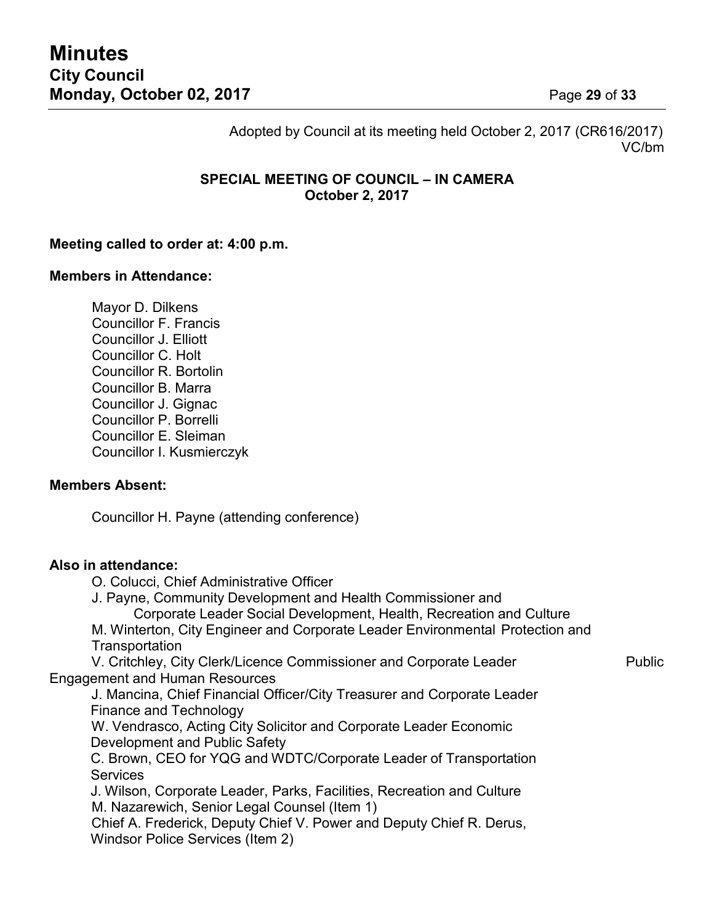Adopted by Council at its meeting held October 2, 2017 (CR616/2017) VC/bm

#### **SPECIAL MEETING OF COUNCIL – IN CAMERA October 2, 2017**

#### **Meeting called to order at: 4:00 p.m.**

#### **Members in Attendance:**

Mayor D. Dilkens Councillor F. Francis Councillor J. Elliott Councillor C. Holt Councillor R. Bortolin Councillor B. Marra Councillor J. Gignac Councillor P. Borrelli Councillor E. Sleiman Councillor I. Kusmierczyk

#### **Members Absent:**

Councillor H. Payne (attending conference)

#### **Also in attendance:**

O. Colucci, Chief Administrative Officer

J. Payne, Community Development and Health Commissioner and

Corporate Leader Social Development, Health, Recreation and Culture

M. Winterton, City Engineer and Corporate Leader Environmental Protection and **Transportation** 

V. Critchley, City Clerk/Licence Commissioner and Corporate Leader Public Engagement and Human Resources

J. Mancina, Chief Financial Officer/City Treasurer and Corporate Leader Finance and Technology

W. Vendrasco, Acting City Solicitor and Corporate Leader Economic Development and Public Safety

C. Brown, CEO for YQG and WDTC/Corporate Leader of Transportation **Services** 

J. Wilson, Corporate Leader, Parks, Facilities, Recreation and Culture M. Nazarewich, Senior Legal Counsel (Item 1)

Chief A. Frederick, Deputy Chief V. Power and Deputy Chief R. Derus, Windsor Police Services (Item 2)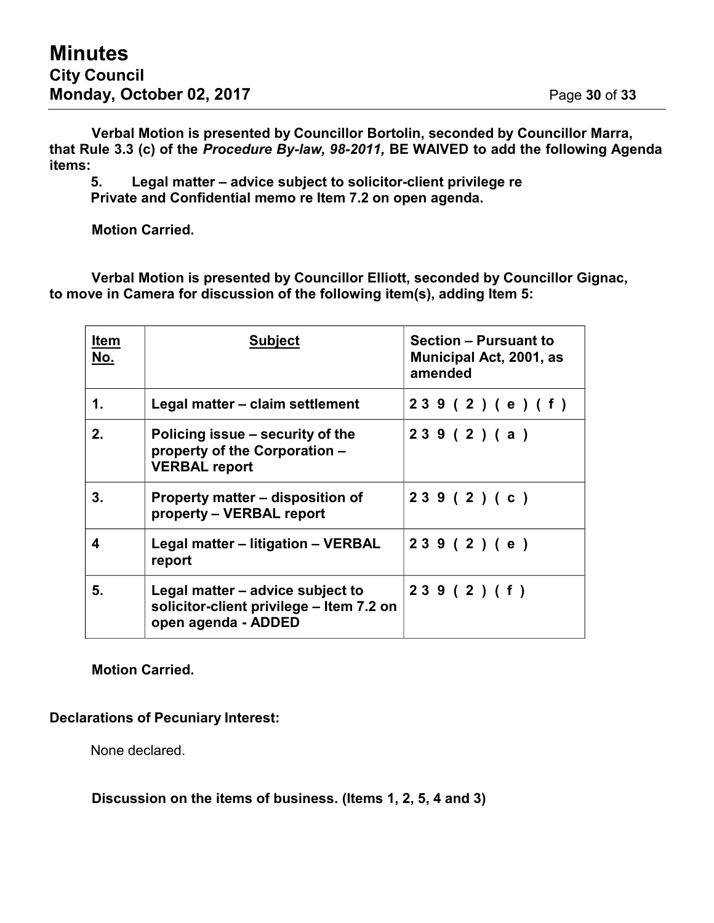**5. Legal matter – advice subject to solicitor-client privilege re Private and Confidential memo re Item 7.2 on open agenda.**

**Motion Carried.**

**Verbal Motion is presented by Councillor Elliott, seconded by Councillor Gignac, to move in Camera for discussion of the following item(s), adding Item 5:**

| <b>Item</b><br>No. | <b>Subject</b>                                                                                      | Section - Pursuant to<br>Municipal Act, 2001, as<br>amended |
|--------------------|-----------------------------------------------------------------------------------------------------|-------------------------------------------------------------|
| 1.                 | Legal matter - claim settlement                                                                     | 239 (2) (e) (f)                                             |
| 2.                 | Policing issue – security of the<br>property of the Corporation -<br><b>VERBAL report</b>           | 239(2)(a)                                                   |
| 3.                 | Property matter – disposition of<br>property - VERBAL report                                        | 239(2)(c)                                                   |
| 4                  | Legal matter – litigation – VERBAL<br>report                                                        | 239(2)(e)                                                   |
| 5.                 | Legal matter – advice subject to<br>solicitor-client privilege - Item 7.2 on<br>open agenda - ADDED | 239(2)(f)                                                   |

**Motion Carried.**

### **Declarations of Pecuniary Interest:**

None declared.

**Discussion on the items of business. (Items 1, 2, 5, 4 and 3)**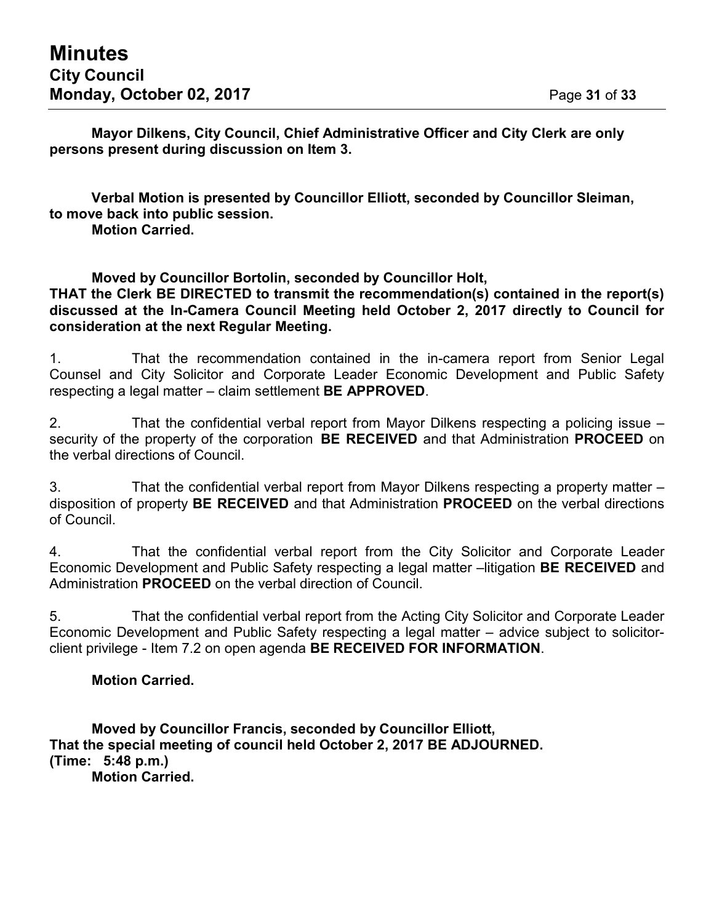**Mayor Dilkens, City Council, Chief Administrative Officer and City Clerk are only persons present during discussion on Item 3.**

**Verbal Motion is presented by Councillor Elliott, seconded by Councillor Sleiman, to move back into public session.**

**Motion Carried.**

**Moved by Councillor Bortolin, seconded by Councillor Holt,**

**THAT the Clerk BE DIRECTED to transmit the recommendation(s) contained in the report(s) discussed at the In-Camera Council Meeting held October 2, 2017 directly to Council for consideration at the next Regular Meeting.**

1. That the recommendation contained in the in-camera report from Senior Legal Counsel and City Solicitor and Corporate Leader Economic Development and Public Safety respecting a legal matter – claim settlement **BE APPROVED**.

2. That the confidential verbal report from Mayor Dilkens respecting a policing issue – security of the property of the corporation **BE RECEIVED** and that Administration **PROCEED** on the verbal directions of Council.

3. That the confidential verbal report from Mayor Dilkens respecting a property matter – disposition of property **BE RECEIVED** and that Administration **PROCEED** on the verbal directions of Council.

4. That the confidential verbal report from the City Solicitor and Corporate Leader Economic Development and Public Safety respecting a legal matter –litigation **BE RECEIVED** and Administration **PROCEED** on the verbal direction of Council.

5. That the confidential verbal report from the Acting City Solicitor and Corporate Leader Economic Development and Public Safety respecting a legal matter – advice subject to solicitorclient privilege - Item 7.2 on open agenda **BE RECEIVED FOR INFORMATION**.

#### **Motion Carried.**

**Moved by Councillor Francis, seconded by Councillor Elliott, That the special meeting of council held October 2, 2017 BE ADJOURNED. (Time: 5:48 p.m.) Motion Carried.**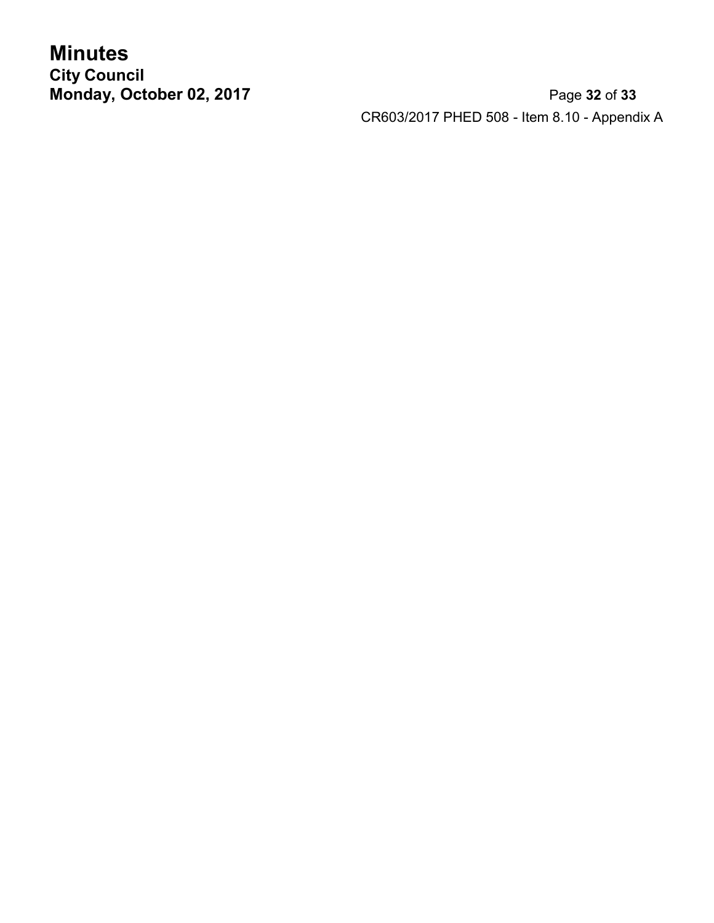# **Minutes**

**City Council**

**Monday, October 02, 2017** Page **32** of **33** CR603/2017 PHED 508 - Item 8.10 - Appendix A